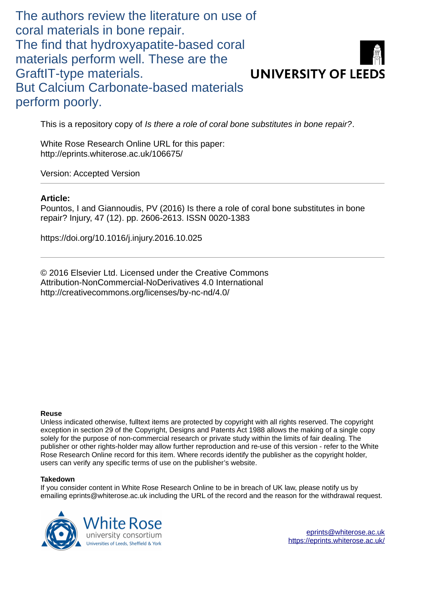The authors review the literature on use of coral materials in bone repair. The find that hydroxyapatite-based coral materials perform well. These are the GraftIT-type materials. But Calcium Carbonate-based materials perform poorly.

**UNIVERSITY OF LEEDS** 

This is a repository copy of *Is there a role of coral bone substitutes in bone repair?*.

White Rose Research Online URL for this paper: http://eprints.whiterose.ac.uk/106675/

Version: Accepted Version

### **Article:**

Pountos, I and Giannoudis, PV (2016) Is there a role of coral bone substitutes in bone repair? Injury, 47 (12). pp. 2606-2613. ISSN 0020-1383

https://doi.org/10.1016/j.injury.2016.10.025

© 2016 Elsevier Ltd. Licensed under the Creative Commons Attribution-NonCommercial-NoDerivatives 4.0 International http://creativecommons.org/licenses/by-nc-nd/4.0/

### **Reuse**

Unless indicated otherwise, fulltext items are protected by copyright with all rights reserved. The copyright exception in section 29 of the Copyright, Designs and Patents Act 1988 allows the making of a single copy solely for the purpose of non-commercial research or private study within the limits of fair dealing. The publisher or other rights-holder may allow further reproduction and re-use of this version - refer to the White Rose Research Online record for this item. Where records identify the publisher as the copyright holder, users can verify any specific terms of use on the publisher's website.

### **Takedown**

If you consider content in White Rose Research Online to be in breach of UK law, please notify us by emailing eprints@whiterose.ac.uk including the URL of the record and the reason for the withdrawal request.

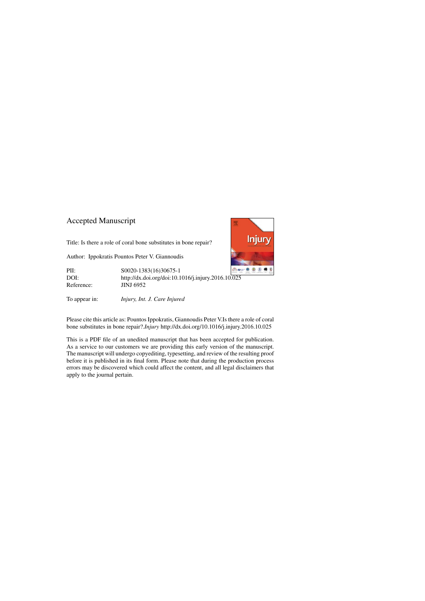## Accepted Manuscript

Title: Is there a role of coral bone substitutes in bone repair?

Author: Ippokratis Pountos Peter V. Giannoudis

PII: S0020-1383(16)30675-1 DOI:<http://dx.doi.org/doi:10.1016/j.injury.2016.10.025> Reference: JINJ 6952

To appear in: *Injury, Int. J. Care Injured*

Please cite this article as: Pountos Ippokratis, Giannoudis Peter V.Is there a role of coral bone substitutes in bone repair?.*Injury* <http://dx.doi.org/10.1016/j.injury.2016.10.025>

This is a PDF file of an unedited manuscript that has been accepted for publication. As a service to our customers we are providing this early version of the manuscript. The manuscript will undergo copyediting, typesetting, and review of the resulting proof before it is published in its final form. Please note that during the production process errors may be discovered which could affect the content, and all legal disclaimers that apply to the journal pertain.

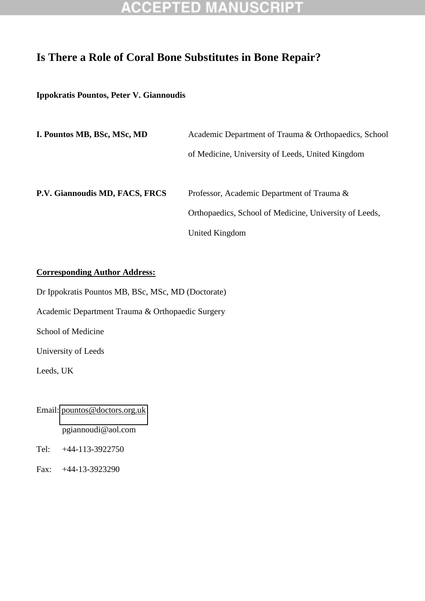## **Is There a Role of Coral Bone Substitutes in Bone Repair?**

### **Ippokratis Pountos, Peter V. Giannoudis**

| I. Pountos MB, BSc, MSc, MD    | Academic Department of Trauma & Orthopaedics, School   |  |  |
|--------------------------------|--------------------------------------------------------|--|--|
|                                | of Medicine, University of Leeds, United Kingdom       |  |  |
| P.V. Giannoudis MD, FACS, FRCS | Professor, Academic Department of Trauma &             |  |  |
|                                | Orthopaedics, School of Medicine, University of Leeds, |  |  |
|                                | United Kingdom                                         |  |  |

### **Corresponding Author Address:**

Dr Ippokratis Pountos MB, BSc, MSc, MD (Doctorate)

Academic Department Trauma & Orthopaedic Surgery

School of Medicine

University of Leeds

Leeds, UK

Email: [pountos@doctors.org.uk](mailto:pountos@doctors.org.uk) 

pgiannoudi@aol.com

Tel: +44-113-3922750

Fax: +44-13-3923290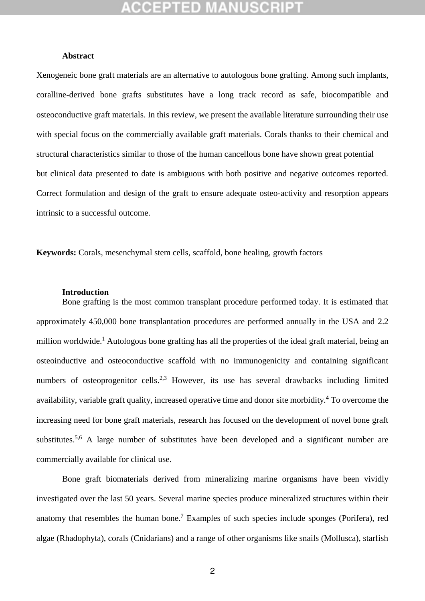### **Abstract**

Xenogeneic bone graft materials are an alternative to autologous bone grafting. Among such implants, coralline-derived bone grafts substitutes have a long track record as safe, biocompatible and osteoconductive graft materials. In this review, we present the available literature surrounding their use with special focus on the commercially available graft materials. Corals thanks to their chemical and structural characteristics similar to those of the human cancellous bone have shown great potential but clinical data presented to date is ambiguous with both positive and negative outcomes reported. Correct formulation and design of the graft to ensure adequate osteo-activity and resorption appears intrinsic to a successful outcome.

**Keywords:** Corals, mesenchymal stem cells, scaffold, bone healing, growth factors

### **Introduction**

Bone grafting is the most common transplant procedure performed today. It is estimated that approximately 450,000 bone transplantation procedures are performed annually in the USA and 2.2 million worldwide.<sup>1</sup> Autologous bone grafting has all the properties of the ideal graft material, being an osteoinductive and osteoconductive scaffold with no immunogenicity and containing significant numbers of osteoprogenitor cells.<sup>2,3</sup> However, its use has several drawbacks including limited availability, variable graft quality, increased operative time and donor site morbidity.<sup>4</sup> To overcome the increasing need for bone graft materials, research has focused on the development of novel bone graft substitutes.<sup>5,6</sup> A large number of substitutes have been developed and a significant number are commercially available for clinical use.

Bone graft biomaterials derived from mineralizing marine organisms have been vividly investigated over the last 50 years. Several marine species produce mineralized structures within their anatomy that resembles the human bone.<sup>7</sup> Examples of such species include sponges (Porifera), red algae (Rhadophyta), corals (Cnidarians) and a range of other organisms like snails (Mollusca), starfish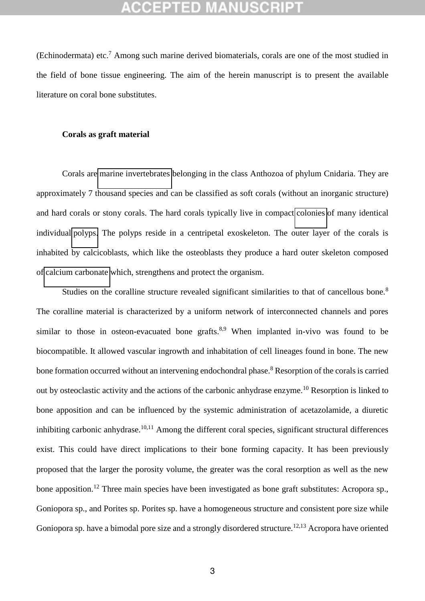(Echinodermata) etc.<sup>7</sup> Among such marine derived biomaterials, corals are one of the most studied in the field of bone tissue engineering. The aim of the herein manuscript is to present the available literature on coral bone substitutes.

### **Corals as graft material**

Corals are [marine invertebrates](https://en.wikipedia.org/wiki/Marine_invertebrates) belonging in the class Anthozoa of phylum Cnidaria. They are approximately 7 thousand species and can be classified as soft corals (without an inorganic structure) and hard corals or stony corals. The hard corals typically live in compact [colonies](https://en.wikipedia.org/wiki/Colony_(biology)) of many identical individual [polyps.](https://en.wikipedia.org/wiki/Polyp) The polyps reside in a centripetal exoskeleton. The outer layer of the corals is inhabited by calcicoblasts, which like the osteoblasts they produce a hard outer skeleton composed of [calcium carbonate](https://en.wikipedia.org/wiki/Calcium_carbonate) which, strengthens and protect the organism.

Studies on the coralline structure revealed significant similarities to that of cancellous bone.<sup>8</sup> The coralline material is characterized by a uniform network of interconnected channels and pores similar to those in osteon-evacuated bone grafts. $8.9$  When implanted in-vivo was found to be biocompatible. It allowed vascular ingrowth and inhabitation of cell lineages found in bone. The new bone formation occurred without an intervening endochondral phase.<sup>8</sup> Resorption of the corals is carried out by osteoclastic activity and the actions of the carbonic anhydrase enzyme.<sup>10</sup> Resorption is linked to bone apposition and can be influenced by the systemic administration of acetazolamide, a diuretic inhibiting carbonic anhydrase.<sup>10,11</sup> Among the different coral species, significant structural differences exist. This could have direct implications to their bone forming capacity. It has been previously proposed that the larger the porosity volume, the greater was the coral resorption as well as the new bone apposition.<sup>12</sup> Three main species have been investigated as bone graft substitutes: Acropora sp., Goniopora sp., and Porites sp. Porites sp. have a homogeneous structure and consistent pore size while Goniopora sp. have a bimodal pore size and a strongly disordered structure.<sup>12,13</sup> Acropora have oriented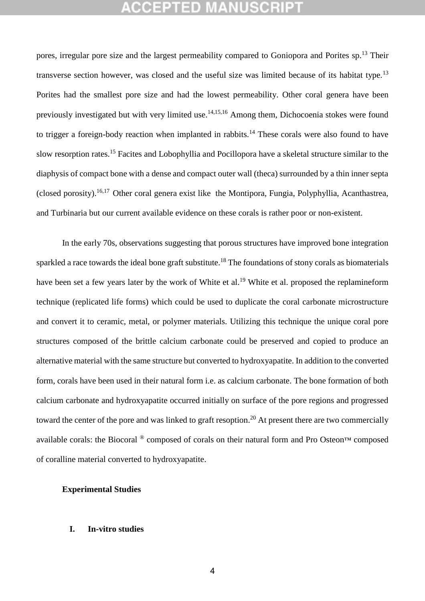pores, irregular pore size and the largest permeability compared to Goniopora and Porites sp.<sup>13</sup> Their transverse section however, was closed and the useful size was limited because of its habitat type.<sup>13</sup> Porites had the smallest pore size and had the lowest permeability. Other coral genera have been previously investigated but with very limited use.<sup>14,15,16</sup> Among them, Dichocoenia stokes were found to trigger a foreign-body reaction when implanted in rabbits.<sup>14</sup> These corals were also found to have slow resorption rates.<sup>15</sup> Facites and Lobophyllia and Pocillopora have a skeletal structure similar to the diaphysis of compact bone with a dense and compact outer wall (theca) surrounded by a thin inner septa (closed porosity).<sup>16,17</sup> Other coral genera exist like the Montipora, Fungia, Polyphyllia, Acanthastrea, and Turbinaria but our current available evidence on these corals is rather poor or non-existent.

In the early 70s, observations suggesting that porous structures have improved bone integration sparkled a race towards the ideal bone graft substitute.<sup>18</sup> The foundations of stony corals as biomaterials have been set a few years later by the work of White et al.<sup>19</sup> White et al. proposed the replamineform technique (replicated life forms) which could be used to duplicate the coral carbonate microstructure and convert it to ceramic, metal, or polymer materials. Utilizing this technique the unique coral pore structures composed of the brittle calcium carbonate could be preserved and copied to produce an alternative material with the same structure but converted to hydroxyapatite. In addition to the converted form, corals have been used in their natural form i.e. as calcium carbonate. The bone formation of both calcium carbonate and hydroxyapatite occurred initially on surface of the pore regions and progressed toward the center of the pore and was linked to graft resoption.<sup>20</sup> At present there are two commercially available corals: the Biocoral ® composed of corals on their natural form and Pro Osteon™ composed of coralline material converted to hydroxyapatite.

### **Experimental Studies**

### **I. In-vitro studies**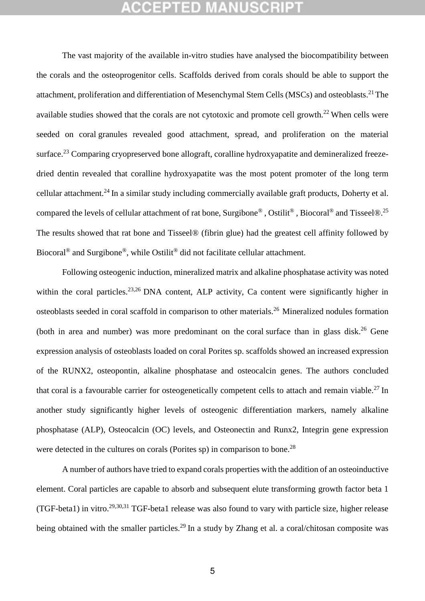The vast majority of the available in-vitro studies have analysed the biocompatibility between the corals and the osteoprogenitor cells. Scaffolds derived from corals should be able to support the attachment, proliferation and differentiation of Mesenchymal Stem Cells (MSCs) and osteoblasts.<sup>21</sup> The available studies showed that the corals are not cytotoxic and promote cell growth.<sup>22</sup> When cells were seeded on coral granules revealed good attachment, spread, and proliferation on the material surface.<sup>23</sup> Comparing cryopreserved bone allograft, coralline hydroxyapatite and demineralized freezedried dentin revealed that coralline hydroxyapatite was the most potent promoter of the long term cellular attachment.<sup>24</sup> In a similar study including commercially available graft products, Doherty et al. compared the levels of cellular attachment of rat bone, Surgibone® , Ostilit® , Biocoral® and Tisseel®.<sup>25</sup> The results showed that rat bone and Tisseel® (fibrin glue) had the greatest cell affinity followed by Biocoral<sup>®</sup> and Surgibone<sup>®</sup>, while Ostilit<sup>®</sup> did not facilitate cellular attachment.

Following osteogenic induction, mineralized matrix and alkaline phosphatase activity was noted within the coral particles.<sup>23,26</sup> DNA content, ALP activity, Ca content were significantly higher in osteoblasts seeded in coral scaffold in comparison to other materials.<sup>26</sup> Mineralized nodules formation (both in area and number) was more predominant on the coral surface than in glass disk.<sup>26</sup> Gene expression analysis of osteoblasts loaded on coral Porites sp. scaffolds showed an increased expression of the RUNX2, osteopontin, alkaline phosphatase and osteocalcin genes. The authors concluded that coral is a favourable carrier for osteogenetically competent cells to attach and remain viable.<sup>27</sup> In another study significantly higher levels of osteogenic differentiation markers, namely alkaline phosphatase (ALP), Osteocalcin (OC) levels, and Osteonectin and Runx2, Integrin gene expression were detected in the cultures on corals (Porites  $sp$ ) in comparison to bone.<sup>28</sup>

 A number of authors have tried to expand corals properties with the addition of an osteoinductive element. Coral particles are capable to absorb and subsequent elute transforming growth factor beta 1 (TGF-beta1) in vitro.<sup>29,30,31</sup> TGF-beta1 release was also found to vary with particle size, higher release being obtained with the smaller particles.<sup>29</sup> In a study by Zhang et al. a coral/chitosan composite was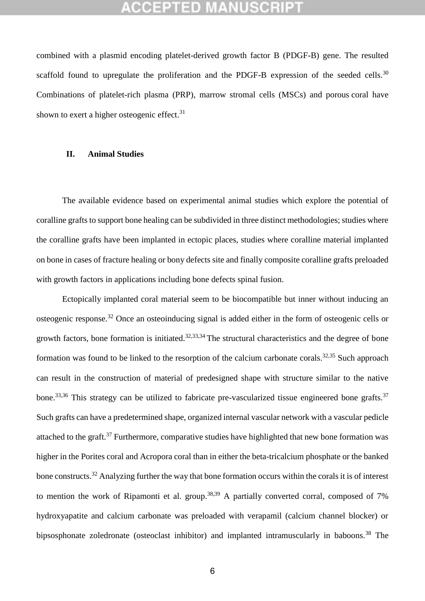combined with a plasmid encoding platelet-derived growth factor B (PDGF-B) gene. The resulted scaffold found to upregulate the proliferation and the PDGF-B expression of the seeded cells.<sup>30</sup> Combinations of platelet-rich plasma (PRP), marrow stromal cells (MSCs) and porous coral have shown to exert a higher osteogenic effect.<sup>31</sup>

### **II. Animal Studies**

The available evidence based on experimental animal studies which explore the potential of coralline grafts to support bone healing can be subdivided in three distinct methodologies; studies where the coralline grafts have been implanted in ectopic places, studies where coralline material implanted on bone in cases of fracture healing or bony defects site and finally composite coralline grafts preloaded with growth factors in applications including bone defects spinal fusion.

Ectopically implanted coral material seem to be biocompatible but inner without inducing an osteogenic response.<sup>32</sup> Once an osteoinducing signal is added either in the form of osteogenic cells or growth factors, bone formation is initiated.<sup>32,33,34</sup> The structural characteristics and the degree of bone formation was found to be linked to the resorption of the calcium carbonate corals.32,35 Such approach can result in the construction of material of predesigned shape with structure similar to the native bone.<sup>33,36</sup> This strategy can be utilized to fabricate pre-vascularized tissue engineered bone grafts.<sup>37</sup> Such grafts can have a predetermined shape, organized internal vascular network with a vascular pedicle attached to the graft.<sup>37</sup> Furthermore, comparative studies have highlighted that new bone formation was higher in the Porites coral and Acropora coral than in either the beta-tricalcium phosphate or the banked bone constructs.<sup>32</sup> Analyzing further the way that bone formation occurs within the corals it is of interest to mention the work of Ripamonti et al. group.<sup>38,39</sup> A partially converted corral, composed of 7% hydroxyapatite and calcium carbonate was preloaded with verapamil (calcium channel blocker) or bipsosphonate zoledronate (osteoclast inhibitor) and implanted intramuscularly in baboons.<sup>38</sup> The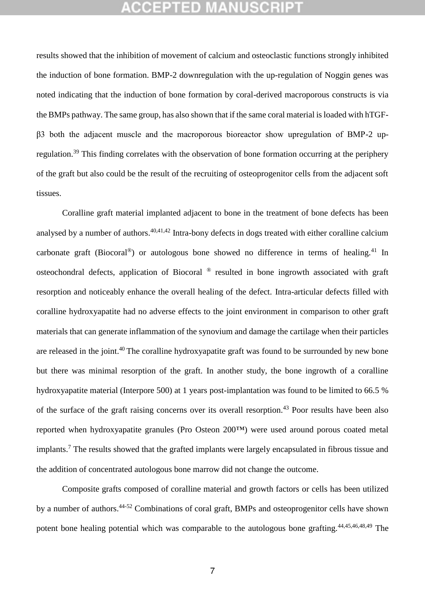results showed that the inhibition of movement of calcium and osteoclastic functions strongly inhibited the induction of bone formation. BMP-2 downregulation with the up-regulation of Noggin genes was noted indicating that the induction of bone formation by coral-derived macroporous constructs is via the BMPs pathway. The same group, has also shown that if the same coral material is loaded with hTGF- $\beta$ 3 both the adjacent muscle and the macroporous bioreactor show upregulation of BMP-2 upregulation.<sup>39</sup> This finding correlates with the observation of bone formation occurring at the periphery of the graft but also could be the result of the recruiting of osteoprogenitor cells from the adjacent soft tissues.

Coralline graft material implanted adjacent to bone in the treatment of bone defects has been analysed by a number of authors.<sup>40,41,42</sup> Intra-bony defects in dogs treated with either coralline calcium carbonate graft (Biocoral<sup>®</sup>) or autologous bone showed no difference in terms of healing.<sup>41</sup> In osteochondral defects, application of Biocoral ® resulted in bone ingrowth associated with graft resorption and noticeably enhance the overall healing of the defect. Intra-articular defects filled with coralline hydroxyapatite had no adverse effects to the joint environment in comparison to other graft materials that can generate inflammation of the synovium and damage the cartilage when their particles are released in the joint.<sup>40</sup> The coralline hydroxyapatite graft was found to be surrounded by new bone but there was minimal resorption of the graft. In another study, the bone ingrowth of a coralline hydroxyapatite material (Interpore 500) at 1 years post-implantation was found to be limited to 66.5 % of the surface of the graft raising concerns over its overall resorption.<sup>43</sup> Poor results have been also reported when hydroxyapatite granules (Pro Osteon 200™) were used around porous coated metal implants.<sup>7</sup> The results showed that the grafted implants were largely encapsulated in fibrous tissue and the addition of concentrated autologous bone marrow did not change the outcome.

Composite grafts composed of coralline material and growth factors or cells has been utilized by a number of authors.<sup>44-52</sup> Combinations of coral graft, BMPs and osteoprogenitor cells have shown potent bone healing potential which was comparable to the autologous bone grafting.<sup>44,45,46,48,49</sup> The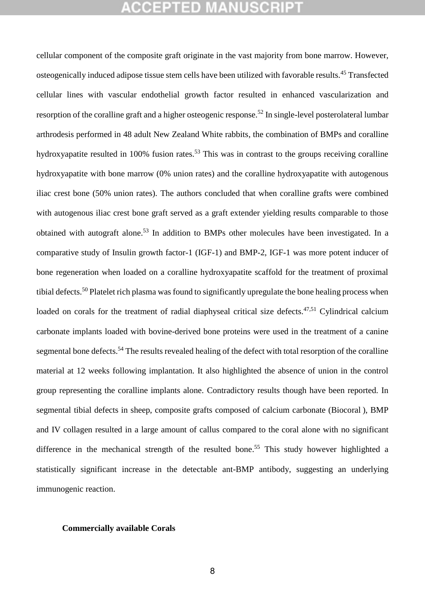cellular component of the composite graft originate in the vast majority from bone marrow. However, osteogenically induced adipose tissue stem cells have been utilized with favorable results.<sup>45</sup> Transfected cellular lines with vascular endothelial growth factor resulted in enhanced vascularization and resorption of the coralline graft and a higher osteogenic response.<sup>52</sup> In single-level posterolateral lumbar arthrodesis performed in 48 adult New Zealand White rabbits, the combination of BMPs and coralline hydroxyapatite resulted in 100% fusion rates.<sup>53</sup> This was in contrast to the groups receiving coralline hydroxyapatite with bone marrow (0% union rates) and the coralline hydroxyapatite with autogenous iliac crest bone (50% union rates). The authors concluded that when coralline grafts were combined with autogenous iliac crest bone graft served as a graft extender yielding results comparable to those obtained with autograft alone.<sup>53</sup> In addition to BMPs other molecules have been investigated. In a comparative study of Insulin growth factor-1 (IGF-1) and BMP-2, IGF-1 was more potent inducer of bone regeneration when loaded on a coralline hydroxyapatite scaffold for the treatment of proximal tibial defects.<sup>50</sup> Platelet rich plasma was found to significantly upregulate the bone healing process when loaded on corals for the treatment of radial diaphyseal critical size defects.<sup>47,51</sup> Cylindrical calcium carbonate implants loaded with bovine-derived bone proteins were used in the treatment of a canine segmental bone defects.<sup>54</sup> The results revealed healing of the defect with total resorption of the coralline material at 12 weeks following implantation. It also highlighted the absence of union in the control group representing the coralline implants alone. Contradictory results though have been reported. In segmental tibial defects in sheep, composite grafts composed of calcium carbonate (Biocoral ), BMP and IV collagen resulted in a large amount of callus compared to the coral alone with no significant difference in the mechanical strength of the resulted bone.<sup>55</sup> This study however highlighted a statistically significant increase in the detectable ant-BMP antibody, suggesting an underlying immunogenic reaction.

### **Commercially available Corals**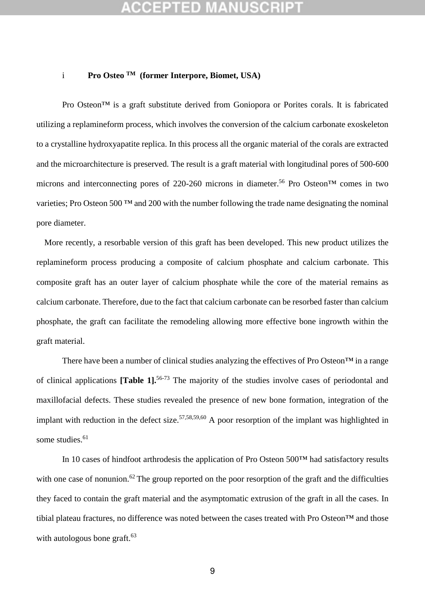### i **Pro Osteo TM (former Interpore, Biomet, USA)**

Pro Osteon<sup>™</sup> is a graft substitute derived from Goniopora or Porites corals. It is fabricated utilizing a replamineform process, which involves the conversion of the calcium carbonate exoskeleton to a crystalline hydroxyapatite replica. In this process all the organic material of the corals are extracted and the microarchitecture is preserved. The result is a graft material with longitudinal pores of 500-600 microns and interconnecting pores of 220-260 microns in diameter.<sup>56</sup> Pro Osteon<sup>TM</sup> comes in two varieties; Pro Osteon 500 ™ and 200 with the number following the trade name designating the nominal pore diameter.

 More recently, a resorbable version of this graft has been developed. This new product utilizes the replamineform process producing a composite of calcium phosphate and calcium carbonate. This composite graft has an outer layer of calcium phosphate while the core of the material remains as calcium carbonate. Therefore, due to the fact that calcium carbonate can be resorbed faster than calcium phosphate, the graft can facilitate the remodeling allowing more effective bone ingrowth within the graft material.

 There have been a number of clinical studies analyzing the effectives of Pro Osteon™ in a range of clinical applications **[Table 1].**56-73 The majority of the studies involve cases of periodontal and maxillofacial defects. These studies revealed the presence of new bone formation, integration of the implant with reduction in the defect size.<sup>57,58,59,60</sup> A poor resorption of the implant was highlighted in some studies.<sup>61</sup>

In 10 cases of hindfoot arthrodesis the application of Pro Osteon 500™ had satisfactory results with one case of nonunion.<sup>62</sup> The group reported on the poor resorption of the graft and the difficulties they faced to contain the graft material and the asymptomatic extrusion of the graft in all the cases. In tibial plateau fractures, no difference was noted between the cases treated with Pro Osteon™ and those with autologous bone graft.<sup>63</sup>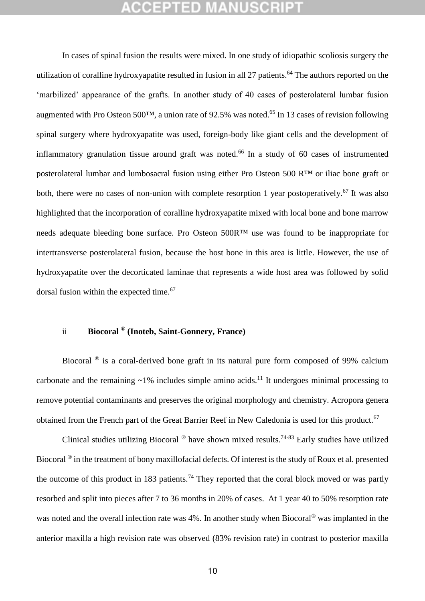In cases of spinal fusion the results were mixed. In one study of idiopathic scoliosis surgery the utilization of coralline hydroxyapatite resulted in fusion in all 27 patients.<sup>64</sup> The authors reported on the 'marbilized' appearance of the grafts. In another study of 40 cases of posterolateral lumbar fusion augmented with Pro Osteon 500TM, a union rate of 92.5% was noted.<sup>65</sup> In 13 cases of revision following spinal surgery where hydroxyapatite was used, foreign-body like giant cells and the development of inflammatory granulation tissue around graft was noted.<sup>66</sup> In a study of 60 cases of instrumented posterolateral lumbar and lumbosacral fusion using either Pro Osteon 500 R™ or iliac bone graft or both, there were no cases of non-union with complete resorption 1 year postoperatively.<sup>67</sup> It was also highlighted that the incorporation of coralline hydroxyapatite mixed with local bone and bone marrow needs adequate bleeding bone surface. Pro Osteon 500R™ use was found to be inappropriate for intertransverse posterolateral fusion, because the host bone in this area is little. However, the use of hydroxyapatite over the decorticated laminae that represents a wide host area was followed by solid dorsal fusion within the expected time.<sup>67</sup>

### ii **Biocoral** ® **(Inoteb, Saint-Gonnery, France)**

Biocoral <sup>®</sup> is a coral-derived bone graft in its natural pure form composed of 99% calcium carbonate and the remaining  $\sim$ 1% includes simple amino acids.<sup>11</sup> It undergoes minimal processing to remove potential contaminants and preserves the original morphology and chemistry. Acropora genera obtained from the French part of the Great Barrier Reef in New Caledonia is used for this product.<sup>67</sup>

Clinical studies utilizing Biocoral  $^{\circledR}$  have shown mixed results.<sup>74-83</sup> Early studies have utilized Biocoral ® in the treatment of bony maxillofacial defects. Of interest is the study of Roux et al. presented the outcome of this product in 183 patients.<sup>74</sup> They reported that the coral block moved or was partly resorbed and split into pieces after 7 to 36 months in 20% of cases. At 1 year 40 to 50% resorption rate was noted and the overall infection rate was 4%. In another study when Biocoral<sup>®</sup> was implanted in the anterior maxilla a high revision rate was observed (83% revision rate) in contrast to posterior maxilla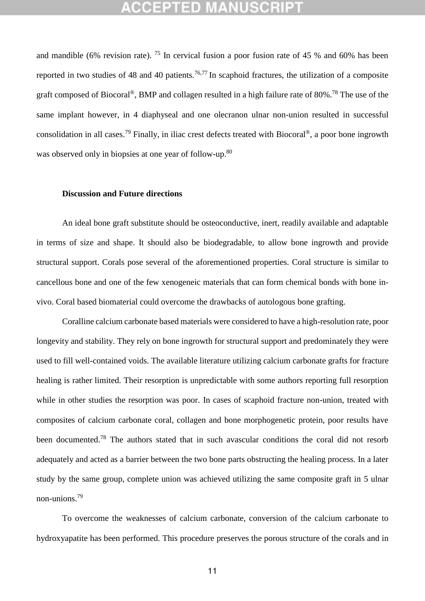and mandible (6% revision rate). <sup>75</sup> In cervical fusion a poor fusion rate of 45 % and 60% has been reported in two studies of 48 and 40 patients.<sup>76,77</sup> In scaphoid fractures, the utilization of a composite graft composed of Biocoral®, BMP and collagen resulted in a high failure rate of 80%.<sup>78</sup> The use of the same implant however, in 4 diaphyseal and one olecranon ulnar non-union resulted in successful consolidation in all cases.<sup>79</sup> Finally, in iliac crest defects treated with Biocoral<sup>®</sup>, a poor bone ingrowth was observed only in biopsies at one year of follow-up.<sup>80</sup>

### **Discussion and Future directions**

An ideal bone graft substitute should be osteoconductive, inert, readily available and adaptable in terms of size and shape. It should also be biodegradable, to allow bone ingrowth and provide structural support. Corals pose several of the aforementioned properties. Coral structure is similar to cancellous bone and one of the few xenogeneic materials that can form chemical bonds with bone invivo. Coral based biomaterial could overcome the drawbacks of autologous bone grafting.

Coralline calcium carbonate based materials were considered to have a high-resolution rate, poor longevity and stability. They rely on bone ingrowth for structural support and predominately they were used to fill well-contained voids. The available literature utilizing calcium carbonate grafts for fracture healing is rather limited. Their resorption is unpredictable with some authors reporting full resorption while in other studies the resorption was poor. In cases of scaphoid fracture non-union, treated with composites of calcium carbonate coral, collagen and bone morphogenetic protein, poor results have been documented.<sup>78</sup> The authors stated that in such avascular conditions the coral did not resorb adequately and acted as a barrier between the two bone parts obstructing the healing process. In a later study by the same group, complete union was achieved utilizing the same composite graft in 5 ulnar non-unions.<sup>79</sup>

To overcome the weaknesses of calcium carbonate, conversion of the calcium carbonate to hydroxyapatite has been performed. This procedure preserves the porous structure of the corals and in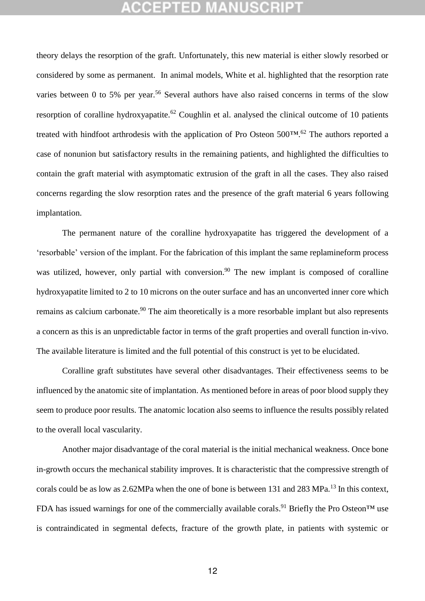theory delays the resorption of the graft. Unfortunately, this new material is either slowly resorbed or considered by some as permanent. In animal models, White et al. highlighted that the resorption rate varies between 0 to 5% per year.<sup>56</sup> Several authors have also raised concerns in terms of the slow resorption of coralline hydroxyapatite.<sup>62</sup> Coughlin et al. analysed the clinical outcome of 10 patients treated with hindfoot arthrodesis with the application of Pro Osteon 500™.<sup>62</sup> The authors reported a case of nonunion but satisfactory results in the remaining patients, and highlighted the difficulties to contain the graft material with asymptomatic extrusion of the graft in all the cases. They also raised concerns regarding the slow resorption rates and the presence of the graft material 6 years following implantation.

The permanent nature of the coralline hydroxyapatite has triggered the development of a 'resorbable' version of the implant. For the fabrication of this implant the same replamineform process was utilized, however, only partial with conversion.<sup>90</sup> The new implant is composed of coralline hydroxyapatite limited to 2 to 10 microns on the outer surface and has an unconverted inner core which remains as calcium carbonate.<sup>90</sup> The aim theoretically is a more resorbable implant but also represents a concern as this is an unpredictable factor in terms of the graft properties and overall function in-vivo. The available literature is limited and the full potential of this construct is yet to be elucidated.

Coralline graft substitutes have several other disadvantages. Their effectiveness seems to be influenced by the anatomic site of implantation. As mentioned before in areas of poor blood supply they seem to produce poor results. The anatomic location also seems to influence the results possibly related to the overall local vascularity.

Another major disadvantage of the coral material is the initial mechanical weakness. Once bone in-growth occurs the mechanical stability improves. It is characteristic that the compressive strength of corals could be as low as 2.62MPa when the one of bone is between 131 and 283 MPa.<sup>13</sup> In this context, FDA has issued warnings for one of the commercially available corals.<sup>91</sup> Briefly the Pro Osteon<sup>TM</sup> use is contraindicated in segmental defects, fracture of the growth plate, in patients with systemic or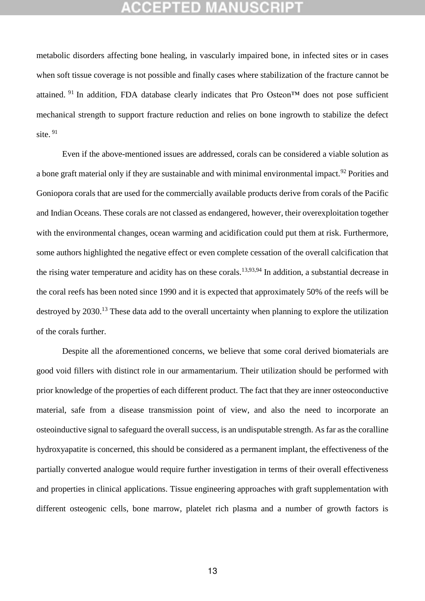metabolic disorders affecting bone healing, in vascularly impaired bone, in infected sites or in cases when soft tissue coverage is not possible and finally cases where stabilization of the fracture cannot be attained. <sup>91</sup> In addition, FDA database clearly indicates that Pro Osteon<sup>TM</sup> does not pose sufficient mechanical strength to support fracture reduction and relies on bone ingrowth to stabilize the defect site.  $91$ 

Even if the above-mentioned issues are addressed, corals can be considered a viable solution as a bone graft material only if they are sustainable and with minimal environmental impact.<sup>92</sup> Porities and Goniopora corals that are used for the commercially available products derive from corals of the Pacific and Indian Oceans. These corals are not classed as endangered, however, their overexploitation together with the environmental changes, ocean warming and acidification could put them at risk. Furthermore, some authors highlighted the negative effect or even complete cessation of the overall calcification that the rising water temperature and acidity has on these corals.<sup>13,93,94</sup> In addition, a substantial decrease in the coral reefs has been noted since 1990 and it is expected that approximately 50% of the reefs will be destroyed by 2030.<sup>13</sup> These data add to the overall uncertainty when planning to explore the utilization of the corals further.

Despite all the aforementioned concerns, we believe that some coral derived biomaterials are good void fillers with distinct role in our armamentarium. Their utilization should be performed with prior knowledge of the properties of each different product. The fact that they are inner osteoconductive material, safe from a disease transmission point of view, and also the need to incorporate an osteoinductive signal to safeguard the overall success, is an undisputable strength. As far as the coralline hydroxyapatite is concerned, this should be considered as a permanent implant, the effectiveness of the partially converted analogue would require further investigation in terms of their overall effectiveness and properties in clinical applications. Tissue engineering approaches with graft supplementation with different osteogenic cells, bone marrow, platelet rich plasma and a number of growth factors is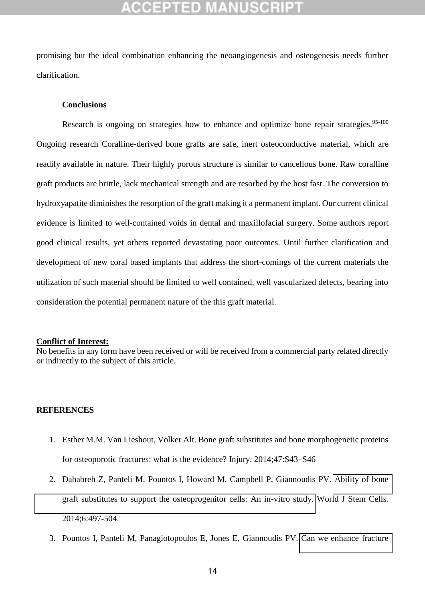promising but the ideal combination enhancing the neoangiogenesis and osteogenesis needs further clarification.

### **Conclusions**

Research is ongoing on strategies how to enhance and optimize bone repair strategies.<sup>95-100</sup> Ongoing research Coralline-derived bone grafts are safe, inert osteoconductive material, which are readily available in nature. Their highly porous structure is similar to cancellous bone. Raw coralline graft products are brittle, lack mechanical strength and are resorbed by the host fast. The conversion to hydroxyapatite diminishes the resorption of the graft making it a permanent implant. Our current clinical evidence is limited to well-contained voids in dental and maxillofacial surgery. Some authors report good clinical results, yet others reported devastating poor outcomes. Until further clarification and development of new coral based implants that address the short-comings of the current materials the utilization of such material should be limited to well contained, well vascularized defects, bearing into consideration the potential permanent nature of the this graft material.

### **Conflict of Interest:**

No benefits in any form have been received or will be received from a commercial party related directly or indirectly to the subject of this article.

### **REFERENCES**

- 1. Esther M.M. Van Lieshout, Volker Alt. Bone graft substitutes and bone morphogenetic proteins for osteoporotic fractures: what is the evidence? Injury. 2014;47:S43–S46
- 2. Dahabreh Z, Panteli M, Pountos I, Howard M, Campbell P, Giannoudis PV. [Ability of bone](http://www.ncbi.nlm.nih.gov/pubmed/25258672)  [graft substitutes to support the osteoprogenitor cells: An in-vitro study.](http://www.ncbi.nlm.nih.gov/pubmed/25258672) World J Stem Cells. 2014;6:497-504.
- 3. Pountos I, Panteli M, Panagiotopoulos E, Jones E, Giannoudis PV. [Can we enhance fracture](http://www.ncbi.nlm.nih.gov/pubmed/24857029)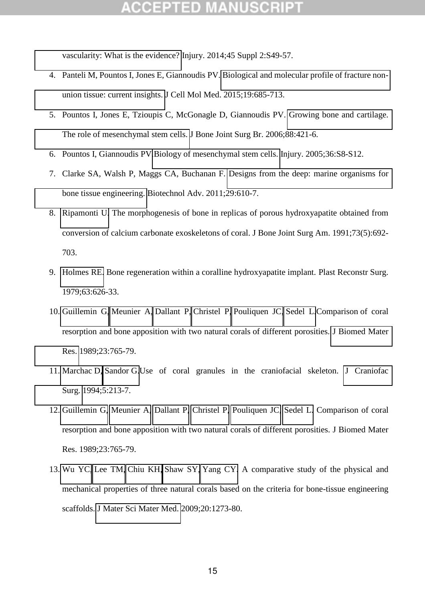[vascularity: What is the evidence?](http://www.ncbi.nlm.nih.gov/pubmed/24857029) Injury. 2014;45 Suppl 2:S49-57.

- 4. Panteli M, Pountos I, Jones E, Giannoudis PV. [Biological and molecular profile of fracture non](http://www.ncbi.nlm.nih.gov/pubmed/25726940)[union tissue: current insights.](http://www.ncbi.nlm.nih.gov/pubmed/25726940) J Cell Mol Med. 2015;19:685-713.
- 5. Pountos I, Jones E, Tzioupis C, McGonagle D, Giannoudis PV. [Growing bone and cartilage.](http://www.ncbi.nlm.nih.gov/pubmed/16567773)  [The role of mesenchymal stem cells.](http://www.ncbi.nlm.nih.gov/pubmed/16567773) J Bone Joint Surg Br. 2006;88:421-6.
- 6. Pountos I, Giannoudis PV[.Biology of mesenchymal stem cells.](http://www.ncbi.nlm.nih.gov/pubmed/16188553) Injury. 2005;36:S8-S12.
- 7. Clarke SA, Walsh P, Maggs CA, Buchanan F. [Designs from the deep: marine organisms for](http://www.ncbi.nlm.nih.gov/pubmed/21527337)  [bone tissue engineering.](http://www.ncbi.nlm.nih.gov/pubmed/21527337) Biotechnol Adv. 2011;29:610-7.
- 8. [Ripamonti U.](http://www.ncbi.nlm.nih.gov/pubmed/?term=Ripamonti%20U%5BAuthor%5D&cauthor=true&cauthor_uid=1675218) The morphogenesis of bone in replicas of porous hydroxyapatite obtained from conversion of calcium carbonate exoskeletons of coral. J Bone Joint Surg Am. 1991;73(5):692- 703.
- 9. [Holmes RE.](http://www.ncbi.nlm.nih.gov/pubmed/?term=Holmes%20RE%5BAuthor%5D&cauthor=true&cauthor_uid=432330) Bone regeneration within a coralline hydroxyapatite implant. Plast Reconstr Surg. 1979;63:626-33.
- 10. [Guillemin G,](http://www.ncbi.nlm.nih.gov/pubmed/?term=Guillemin%20G%5BAuthor%5D&cauthor=true&cauthor_uid=2738087) [Meunier A,](http://www.ncbi.nlm.nih.gov/pubmed/?term=Meunier%20A%5BAuthor%5D&cauthor=true&cauthor_uid=2738087) [Dallant P,](http://www.ncbi.nlm.nih.gov/pubmed/?term=Dallant%20P%5BAuthor%5D&cauthor=true&cauthor_uid=2738087) [Christel P,](http://www.ncbi.nlm.nih.gov/pubmed/?term=Christel%20P%5BAuthor%5D&cauthor=true&cauthor_uid=2738087) [Pouliquen JC,](http://www.ncbi.nlm.nih.gov/pubmed/?term=Pouliquen%20JC%5BAuthor%5D&cauthor=true&cauthor_uid=2738087) [Sedel L.](http://www.ncbi.nlm.nih.gov/pubmed/?term=Sedel%20L%5BAuthor%5D&cauthor=true&cauthor_uid=2738087)Comparison of coral resorption and bone apposition with two natural corals of different porosities. [J Biomed Mater](http://www.ncbi.nlm.nih.gov/pubmed/2738087)  [Res.](http://www.ncbi.nlm.nih.gov/pubmed/2738087) 1989;23:765-79.
- 11. [Marchac D,](http://www.ncbi.nlm.nih.gov/pubmed/?term=Marchac%20D%5BAuthor%5D&cauthor=true&cauthor_uid=7833393) [Sandor G.](http://www.ncbi.nlm.nih.gov/pubmed/?term=Sandor%20G%5BAuthor%5D&cauthor=true&cauthor_uid=7833393)Use of coral granules in the craniofacial skeleton. [J Craniofac](http://www.ncbi.nlm.nih.gov/pubmed/?term=marchac+sandor+1994+bone)  [Surg.](http://www.ncbi.nlm.nih.gov/pubmed/?term=marchac+sandor+1994+bone) 1994;5:213-7.
- 12. [Guillemin G,](http://www.ncbi.nlm.nih.gov/pubmed/?term=Guillemin%20G%5BAuthor%5D&cauthor=true&cauthor_uid=2738087) [Meunier A,](http://www.ncbi.nlm.nih.gov/pubmed/?term=Meunier%20A%5BAuthor%5D&cauthor=true&cauthor_uid=2738087) [Dallant P,](http://www.ncbi.nlm.nih.gov/pubmed/?term=Dallant%20P%5BAuthor%5D&cauthor=true&cauthor_uid=2738087) [Christel P,](http://www.ncbi.nlm.nih.gov/pubmed/?term=Christel%20P%5BAuthor%5D&cauthor=true&cauthor_uid=2738087) [Pouliquen JC,](http://www.ncbi.nlm.nih.gov/pubmed/?term=Pouliquen%20JC%5BAuthor%5D&cauthor=true&cauthor_uid=2738087) [Sedel L.](http://www.ncbi.nlm.nih.gov/pubmed/?term=Sedel%20L%5BAuthor%5D&cauthor=true&cauthor_uid=2738087) Comparison of coral resorption and bone apposition with two natural corals of different porosities. J Biomed Mater Res. 1989;23:765-79.
- 13. [Wu YC,](http://www.ncbi.nlm.nih.gov/pubmed/?term=Wu%20YC%5BAuthor%5D&cauthor=true&cauthor_uid=19267261) [Lee TM,](http://www.ncbi.nlm.nih.gov/pubmed/?term=Lee%20TM%5BAuthor%5D&cauthor=true&cauthor_uid=19267261) [Chiu KH,](http://www.ncbi.nlm.nih.gov/pubmed/?term=Chiu%20KH%5BAuthor%5D&cauthor=true&cauthor_uid=19267261) [Shaw SY,](http://www.ncbi.nlm.nih.gov/pubmed/?term=Shaw%20SY%5BAuthor%5D&cauthor=true&cauthor_uid=19267261) [Yang CY.](http://www.ncbi.nlm.nih.gov/pubmed/?term=Yang%20CY%5BAuthor%5D&cauthor=true&cauthor_uid=19267261) A comparative study of the physical and mechanical properties of three natural corals based on the criteria for bone-tissue engineering scaffolds. [J Mater Sci Mater Med.](http://www.ncbi.nlm.nih.gov/pubmed/19267261) 2009;20:1273-80.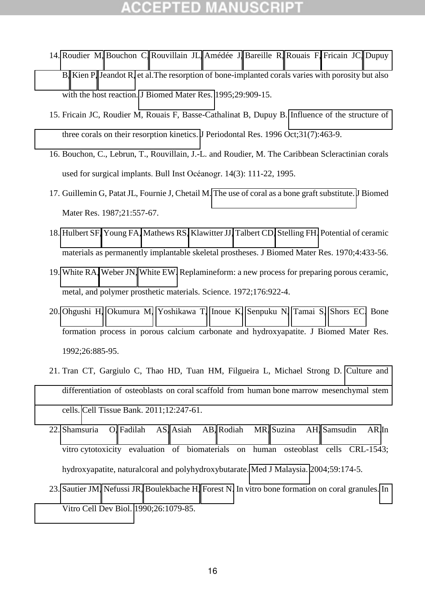- 14. [Roudier M,](http://www.ncbi.nlm.nih.gov/pubmed/?term=Roudier%20M%5BAuthor%5D&cauthor=true&cauthor_uid=7593034) [Bouchon C,](http://www.ncbi.nlm.nih.gov/pubmed/?term=Bouchon%20C%5BAuthor%5D&cauthor=true&cauthor_uid=7593034) [Rouvillain JL,](http://www.ncbi.nlm.nih.gov/pubmed/?term=Rouvillain%20JL%5BAuthor%5D&cauthor=true&cauthor_uid=7593034) [Amédée J,](http://www.ncbi.nlm.nih.gov/pubmed/?term=Am%C3%A9d%C3%A9e%20J%5BAuthor%5D&cauthor=true&cauthor_uid=7593034) [Bareille R,](http://www.ncbi.nlm.nih.gov/pubmed/?term=Bareille%20R%5BAuthor%5D&cauthor=true&cauthor_uid=7593034) [Rouais F,](http://www.ncbi.nlm.nih.gov/pubmed/?term=Rouais%20F%5BAuthor%5D&cauthor=true&cauthor_uid=7593034) [Fricain JC,](http://www.ncbi.nlm.nih.gov/pubmed/?term=Fricain%20JC%5BAuthor%5D&cauthor=true&cauthor_uid=7593034) [Dupuy](http://www.ncbi.nlm.nih.gov/pubmed/?term=Dupuy%20B%5BAuthor%5D&cauthor=true&cauthor_uid=7593034)  [B,](http://www.ncbi.nlm.nih.gov/pubmed/?term=Dupuy%20B%5BAuthor%5D&cauthor=true&cauthor_uid=7593034) [Kien P,](http://www.ncbi.nlm.nih.gov/pubmed/?term=Kien%20P%5BAuthor%5D&cauthor=true&cauthor_uid=7593034) [Jeandot R,](http://www.ncbi.nlm.nih.gov/pubmed/?term=Jeandot%20R%5BAuthor%5D&cauthor=true&cauthor_uid=7593034) et al.The resorption of bone-implanted corals varies with porosity but also with the host reaction. [J Biomed Mater Res.](http://www.ncbi.nlm.nih.gov/pubmed/7593034) 1995;29:909-15.
- 15. Fricain JC, Roudier M, Rouais F, Basse-Cathalinat B, Dupuy B. [Influence of the structure of](http://www.ncbi.nlm.nih.gov/pubmed/8915948)  [three corals on their resorption kinetics.](http://www.ncbi.nlm.nih.gov/pubmed/8915948) J Periodontal Res. 1996 Oct;31(7):463-9.
- 16. Bouchon, C., Lebrun, T., Rouvillain, J.-L. and Roudier, M. The Caribbean Scleractinian corals used for surgical implants. Bull Inst Oćanogr. 14(3): 111-22, 1995.
- 17. Guillemin G, Patat JL, Fournie J, Chetail M[. The use of coral as a bone graft substitute. J](http://www.ncbi.nlm.nih.gov/pubmed/2884221) Biomed Mater Res. 1987;21:557-67.
- 18. [Hulbert SF,](http://www.ncbi.nlm.nih.gov/pubmed/?term=Hulbert%20SF%5BAuthor%5D&cauthor=true&cauthor_uid=5469185) [Young FA,](http://www.ncbi.nlm.nih.gov/pubmed/?term=Young%20FA%5BAuthor%5D&cauthor=true&cauthor_uid=5469185) [Mathews RS,](http://www.ncbi.nlm.nih.gov/pubmed/?term=Mathews%20RS%5BAuthor%5D&cauthor=true&cauthor_uid=5469185) [Klawitter JJ,](http://www.ncbi.nlm.nih.gov/pubmed/?term=Klawitter%20JJ%5BAuthor%5D&cauthor=true&cauthor_uid=5469185) [Talbert CD,](http://www.ncbi.nlm.nih.gov/pubmed/?term=Talbert%20CD%5BAuthor%5D&cauthor=true&cauthor_uid=5469185) [Stelling FH.](http://www.ncbi.nlm.nih.gov/pubmed/?term=Stelling%20FH%5BAuthor%5D&cauthor=true&cauthor_uid=5469185) Potential of ceramic materials as permanently implantable skeletal prostheses. J Biomed Mater Res. 1970;4:433-56.
- 19. [White RA,](http://www.ncbi.nlm.nih.gov/pubmed/?term=White%20RA%5BAuthor%5D&cauthor=true&cauthor_uid=4402400) [Weber JN,](http://www.ncbi.nlm.nih.gov/pubmed/?term=Weber%20JN%5BAuthor%5D&cauthor=true&cauthor_uid=4402400) [White EW.](http://www.ncbi.nlm.nih.gov/pubmed/?term=White%20EW%5BAuthor%5D&cauthor=true&cauthor_uid=4402400) Replamineform: a new process for preparing porous ceramic, metal, and polymer prosthetic materials. Science. 1972;176:922-4.
- 20. [Ohgushi H,](http://www.ncbi.nlm.nih.gov/pubmed/?term=Ohgushi%20H%5BAuthor%5D&cauthor=true&cauthor_uid=1607371) [Okumura M,](http://www.ncbi.nlm.nih.gov/pubmed/?term=Okumura%20M%5BAuthor%5D&cauthor=true&cauthor_uid=1607371) [Yoshikawa T,](http://www.ncbi.nlm.nih.gov/pubmed/?term=Yoshikawa%20T%5BAuthor%5D&cauthor=true&cauthor_uid=1607371) [Inoue K,](http://www.ncbi.nlm.nih.gov/pubmed/?term=Inoue%20K%5BAuthor%5D&cauthor=true&cauthor_uid=1607371) [Senpuku N,](http://www.ncbi.nlm.nih.gov/pubmed/?term=Senpuku%20N%5BAuthor%5D&cauthor=true&cauthor_uid=1607371) [Tamai S,](http://www.ncbi.nlm.nih.gov/pubmed/?term=Tamai%20S%5BAuthor%5D&cauthor=true&cauthor_uid=1607371) [Shors EC.](http://www.ncbi.nlm.nih.gov/pubmed/?term=Shors%20EC%5BAuthor%5D&cauthor=true&cauthor_uid=1607371) Bone formation process in porous calcium carbonate and hydroxyapatite. J Biomed Mater Res. 1992;26:885-95.
- 21. Tran CT, Gargiulo C, Thao HD, Tuan HM, Filgueira L, Michael Strong D. [Culture and](http://www.ncbi.nlm.nih.gov/pubmed/20703817)  [differentiation of osteoblasts on coral scaffold from human bone marrow mesenchymal stem](http://www.ncbi.nlm.nih.gov/pubmed/20703817)  [cells.](http://www.ncbi.nlm.nih.gov/pubmed/20703817) Cell Tissue Bank. 2011;12:247-61.
- 22. [Shamsuria O,](http://www.ncbi.nlm.nih.gov/pubmed/?term=Shamsuria%20O%5BAuthor%5D&cauthor=true&cauthor_uid=15468874) [Fadilah AS,](http://www.ncbi.nlm.nih.gov/pubmed/?term=Fadilah%20AS%5BAuthor%5D&cauthor=true&cauthor_uid=15468874) [Asiah AB,](http://www.ncbi.nlm.nih.gov/pubmed/?term=Asiah%20AB%5BAuthor%5D&cauthor=true&cauthor_uid=15468874) [Rodiah MR,](http://www.ncbi.nlm.nih.gov/pubmed/?term=Rodiah%20MR%5BAuthor%5D&cauthor=true&cauthor_uid=15468874) [Suzina AH,](http://www.ncbi.nlm.nih.gov/pubmed/?term=Suzina%20AH%5BAuthor%5D&cauthor=true&cauthor_uid=15468874) [Samsudin AR.](http://www.ncbi.nlm.nih.gov/pubmed/?term=Samsudin%20AR%5BAuthor%5D&cauthor=true&cauthor_uid=15468874)In vitro cytotoxicity evaluation of biomaterials on human osteoblast cells CRL-1543; hydroxyapatite, naturalcoral and polyhydroxybutarate. [Med J Malaysia.](http://www.ncbi.nlm.nih.gov/pubmed/15468874) 2004;59:174-5.
- 23. [Sautier JM,](http://www.ncbi.nlm.nih.gov/pubmed/?term=Sautier%20JM%5BAuthor%5D&cauthor=true&cauthor_uid=1980494) [Nefussi JR,](http://www.ncbi.nlm.nih.gov/pubmed/?term=Nefussi%20JR%5BAuthor%5D&cauthor=true&cauthor_uid=1980494) [Boulekbache H,](http://www.ncbi.nlm.nih.gov/pubmed/?term=Boulekbache%20H%5BAuthor%5D&cauthor=true&cauthor_uid=1980494) [Forest N.](http://www.ncbi.nlm.nih.gov/pubmed/?term=Forest%20N%5BAuthor%5D&cauthor=true&cauthor_uid=1980494) In vitro bone formation on coral granules. [In](http://www.ncbi.nlm.nih.gov/pubmed/1980494)  [Vitro Cell Dev Biol.](http://www.ncbi.nlm.nih.gov/pubmed/1980494) 1990;26:1079-85.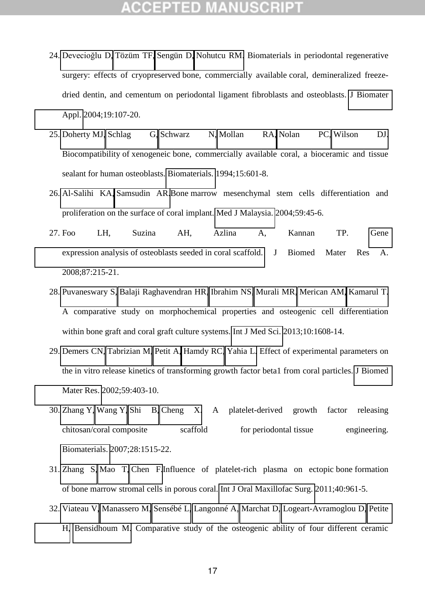- 24. [Devecioğlu D](http://www.ncbi.nlm.nih.gov/pubmed/?term=Devecio%C4%9Flu%20D%5BAuthor%5D&cauthor=true&cauthor_uid=15381784), [Tözüm TF,](http://www.ncbi.nlm.nih.gov/pubmed/?term=T%C3%B6z%C3%BCm%20TF%5BAuthor%5D&cauthor=true&cauthor_uid=15381784) [Sengün D,](http://www.ncbi.nlm.nih.gov/pubmed/?term=Seng%C3%BCn%20D%5BAuthor%5D&cauthor=true&cauthor_uid=15381784) [Nohutcu RM.](http://www.ncbi.nlm.nih.gov/pubmed/?term=Nohutcu%20RM%5BAuthor%5D&cauthor=true&cauthor_uid=15381784) Biomaterials in periodontal regenerative surgery: effects of cryopreserved bone, commercially available coral, demineralized freezedried dentin, and cementum on periodontal ligament fibroblasts and osteoblasts. [J Biomater](http://www.ncbi.nlm.nih.gov/pubmed/15381784)  [Appl.](http://www.ncbi.nlm.nih.gov/pubmed/15381784) 2004;19:107-20.
- 25. [Doherty MJ,](http://www.ncbi.nlm.nih.gov/pubmed/?term=Doherty%20MJ%5BAuthor%5D&cauthor=true&cauthor_uid=7948579) [Schlag G,](http://www.ncbi.nlm.nih.gov/pubmed/?term=Schlag%20G%5BAuthor%5D&cauthor=true&cauthor_uid=7948579) [Schwarz N,](http://www.ncbi.nlm.nih.gov/pubmed/?term=Schwarz%20N%5BAuthor%5D&cauthor=true&cauthor_uid=7948579) [Mollan RA,](http://www.ncbi.nlm.nih.gov/pubmed/?term=Mollan%20RA%5BAuthor%5D&cauthor=true&cauthor_uid=7948579) [Nolan PC,](http://www.ncbi.nlm.nih.gov/pubmed/?term=Nolan%20PC%5BAuthor%5D&cauthor=true&cauthor_uid=7948579) [Wilson DJ.](http://www.ncbi.nlm.nih.gov/pubmed/?term=Wilson%20DJ%5BAuthor%5D&cauthor=true&cauthor_uid=7948579) Biocompatibility of xenogeneic bone, commercially available coral, a bioceramic and tissue sealant for human osteoblasts. [Biomaterials.](http://www.ncbi.nlm.nih.gov/pubmed/?term=doherty+biocompatibility+xenogeneic) 1994;15:601-8.
- 26. [Al-Salihi KA,](http://www.ncbi.nlm.nih.gov/pubmed/?term=Al-Salihi%20KA%5BAuthor%5D&cauthor=true&cauthor_uid=15468811) [Samsudin AR.](http://www.ncbi.nlm.nih.gov/pubmed/?term=Samsudin%20AR%5BAuthor%5D&cauthor=true&cauthor_uid=15468811)Bone marrow mesenchymal stem cells differentiation and proliferation on the surface of coral implant. [Med J Malaysia.](http://www.ncbi.nlm.nih.gov/pubmed/15468811) 2004;59:45-6.
- 27. Foo LH, Suzina AH, Azlina A, Kannan TP. [Gene](http://www.ncbi.nlm.nih.gov/pubmed/18085658)  [expression analysis of osteoblasts seeded in coral scaffold.](http://www.ncbi.nlm.nih.gov/pubmed/18085658) J Biomed Mater Res A. 2008;87:215-21.
- 28. [Puvaneswary S,](http://www.ncbi.nlm.nih.gov/pubmed/?term=Puvaneswary%20S%5BAuthor%5D&cauthor=true&cauthor_uid=24151432) [Balaji Raghavendran HR,](http://www.ncbi.nlm.nih.gov/pubmed/?term=Balaji%20Raghavendran%20HR%5BAuthor%5D&cauthor=true&cauthor_uid=24151432) [Ibrahim NS,](http://www.ncbi.nlm.nih.gov/pubmed/?term=Ibrahim%20NS%5BAuthor%5D&cauthor=true&cauthor_uid=24151432) [Murali MR,](http://www.ncbi.nlm.nih.gov/pubmed/?term=Murali%20MR%5BAuthor%5D&cauthor=true&cauthor_uid=24151432) [Merican AM,](http://www.ncbi.nlm.nih.gov/pubmed/?term=Merican%20AM%5BAuthor%5D&cauthor=true&cauthor_uid=24151432) [Kamarul T.](http://www.ncbi.nlm.nih.gov/pubmed/?term=Kamarul%20T%5BAuthor%5D&cauthor=true&cauthor_uid=24151432) A comparative study on morphochemical properties and osteogenic cell differentiation within bone graft and coral graft culture systems. [Int J Med Sci.](http://www.ncbi.nlm.nih.gov/pubmed/24151432) 2013;10:1608-14.
- 29. [Demers CN,](http://www.ncbi.nlm.nih.gov/pubmed/?term=Demers%20CN%5BAuthor%5D&cauthor=true&cauthor_uid=11774297) [Tabrizian M,](http://www.ncbi.nlm.nih.gov/pubmed/?term=Tabrizian%20M%5BAuthor%5D&cauthor=true&cauthor_uid=11774297) [Petit A,](http://www.ncbi.nlm.nih.gov/pubmed/?term=Petit%20A%5BAuthor%5D&cauthor=true&cauthor_uid=11774297) [Hamdy RC,](http://www.ncbi.nlm.nih.gov/pubmed/?term=Hamdy%20RC%5BAuthor%5D&cauthor=true&cauthor_uid=11774297) [Yahia L.](http://www.ncbi.nlm.nih.gov/pubmed/?term=Yahia%20L%5BAuthor%5D&cauthor=true&cauthor_uid=11774297) Effect of experimental parameters on the in vitro release kinetics of transforming growth factor beta1 from coral particles. [J Biomed](http://www.ncbi.nlm.nih.gov/pubmed/11774297)  [Mater Res.](http://www.ncbi.nlm.nih.gov/pubmed/11774297) 2002;59:403-10.
- 30. [Zhang Y,](http://www.ncbi.nlm.nih.gov/pubmed/?term=Zhang%20Y%5BAuthor%5D&cauthor=true&cauthor_uid=17169421) [Wang Y,](http://www.ncbi.nlm.nih.gov/pubmed/?term=Wang%20Y%5BAuthor%5D&cauthor=true&cauthor_uid=17169421) [Shi B,](http://www.ncbi.nlm.nih.gov/pubmed/?term=Shi%20B%5BAuthor%5D&cauthor=true&cauthor_uid=17169421) [Cheng X.](http://www.ncbi.nlm.nih.gov/pubmed/?term=Cheng%20X%5BAuthor%5D&cauthor=true&cauthor_uid=17169421) A platelet-derived growth factor releasing chitosan/coral composite scaffold for periodontal tissue engineering. [Biomaterials.](http://www.ncbi.nlm.nih.gov/pubmed/?term=zhang+wang+coral+periodontal) 2007;28:1515-22.
- 31. [Zhang S,](http://www.ncbi.nlm.nih.gov/pubmed/?term=Zhang%20S%5BAuthor%5D&cauthor=true&cauthor_uid=21596524) [Mao T,](http://www.ncbi.nlm.nih.gov/pubmed/?term=Mao%20T%5BAuthor%5D&cauthor=true&cauthor_uid=21596524) [Chen F.](http://www.ncbi.nlm.nih.gov/pubmed/?term=Chen%20F%5BAuthor%5D&cauthor=true&cauthor_uid=21596524)Influence of platelet-rich plasma on ectopic bone formation of bone marrow stromal cells in porous coral. [Int J Oral Maxillofac Surg.](http://www.ncbi.nlm.nih.gov/pubmed/21596524) 2011;40:961-5.
- 32. [Viateau V,](http://www.ncbi.nlm.nih.gov/pubmed/?term=Viateau%20V%5BAuthor%5D&cauthor=true&cauthor_uid=23784976) [Manassero M,](http://www.ncbi.nlm.nih.gov/pubmed/?term=Manassero%20M%5BAuthor%5D&cauthor=true&cauthor_uid=23784976) [Sensébé L,](http://www.ncbi.nlm.nih.gov/pubmed/?term=Sens%C3%A9b%C3%A9%20L%5BAuthor%5D&cauthor=true&cauthor_uid=23784976) [Langonné A,](http://www.ncbi.nlm.nih.gov/pubmed/?term=Langonn%C3%A9%20A%5BAuthor%5D&cauthor=true&cauthor_uid=23784976) [Marchat D,](http://www.ncbi.nlm.nih.gov/pubmed/?term=Marchat%20D%5BAuthor%5D&cauthor=true&cauthor_uid=23784976) [Logeart-Avramoglou D,](http://www.ncbi.nlm.nih.gov/pubmed/?term=Logeart-Avramoglou%20D%5BAuthor%5D&cauthor=true&cauthor_uid=23784976) [Petite](http://www.ncbi.nlm.nih.gov/pubmed/?term=Petite%20H%5BAuthor%5D&cauthor=true&cauthor_uid=23784976)  [H,](http://www.ncbi.nlm.nih.gov/pubmed/?term=Petite%20H%5BAuthor%5D&cauthor=true&cauthor_uid=23784976) [Bensidhoum M.](http://www.ncbi.nlm.nih.gov/pubmed/?term=Bensidhoum%20M%5BAuthor%5D&cauthor=true&cauthor_uid=23784976) Comparative study of the osteogenic ability of four different ceramic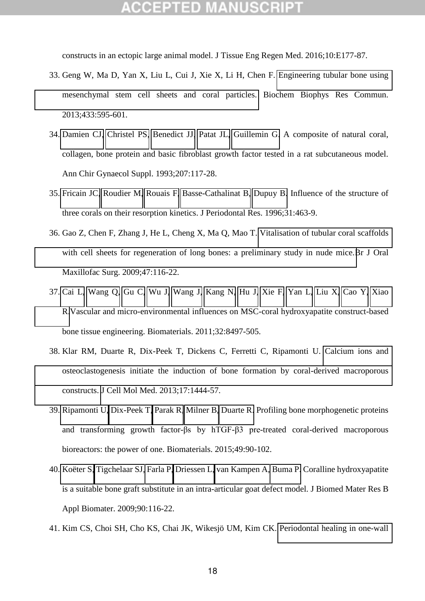constructs in an ectopic large animal model. J Tissue Eng Regen Med. 2016;10:E177-87.

- 33. Geng W, Ma D, Yan X, Liu L, Cui J, Xie X, Li H, Chen F. [Engineering tubular bone using](http://www.ncbi.nlm.nih.gov/pubmed/23523796)  [mesenchymal stem cell sheets and coral particles.](http://www.ncbi.nlm.nih.gov/pubmed/23523796) Biochem Biophys Res Commun. 2013;433:595-601.
- 34. [Damien CJ,](http://www.ncbi.nlm.nih.gov/pubmed/?term=Damien%20CJ%5BAuthor%5D&cauthor=true&cauthor_uid=8154825) [Christel PS,](http://www.ncbi.nlm.nih.gov/pubmed/?term=Christel%20PS%5BAuthor%5D&cauthor=true&cauthor_uid=8154825) [Benedict JJ,](http://www.ncbi.nlm.nih.gov/pubmed/?term=Benedict%20JJ%5BAuthor%5D&cauthor=true&cauthor_uid=8154825) [Patat JL,](http://www.ncbi.nlm.nih.gov/pubmed/?term=Patat%20JL%5BAuthor%5D&cauthor=true&cauthor_uid=8154825) [Guillemin G.](http://www.ncbi.nlm.nih.gov/pubmed/?term=Guillemin%20G%5BAuthor%5D&cauthor=true&cauthor_uid=8154825) A composite of natural coral, collagen, bone protein and basic fibroblast growth factor tested in a rat subcutaneous model. Ann Chir Gynaecol Suppl. 1993;207:117-28.
- 35. [Fricain JC,](http://www.ncbi.nlm.nih.gov/pubmed/?term=Fricain%20JC%5BAuthor%5D&cauthor=true&cauthor_uid=8915948) [Roudier M,](http://www.ncbi.nlm.nih.gov/pubmed/?term=Roudier%20M%5BAuthor%5D&cauthor=true&cauthor_uid=8915948) [Rouais F,](http://www.ncbi.nlm.nih.gov/pubmed/?term=Rouais%20F%5BAuthor%5D&cauthor=true&cauthor_uid=8915948) [Basse-Cathalinat B,](http://www.ncbi.nlm.nih.gov/pubmed/?term=Basse-Cathalinat%20B%5BAuthor%5D&cauthor=true&cauthor_uid=8915948) [Dupuy B.](http://www.ncbi.nlm.nih.gov/pubmed/?term=Dupuy%20B%5BAuthor%5D&cauthor=true&cauthor_uid=8915948) Influence of the structure of three corals on their resorption kinetics. J Periodontal Res. 1996;31:463-9.
- 36. Gao Z, Chen F, Zhang J, He L, Cheng X, Ma Q, Mao T. [Vitalisation of tubular coral scaffolds](http://www.ncbi.nlm.nih.gov/pubmed/18992973)  [with cell sheets for regeneration of long bones: a preliminary study in nude mice.B](http://www.ncbi.nlm.nih.gov/pubmed/18992973)r J Oral Maxillofac Surg. 2009;47:116-22.
- 37. [Cai L,](http://www.ncbi.nlm.nih.gov/pubmed/?term=Cai%20L%5BAuthor%5D&cauthor=true&cauthor_uid=21855129) [Wang Q,](http://www.ncbi.nlm.nih.gov/pubmed/?term=Wang%20Q%5BAuthor%5D&cauthor=true&cauthor_uid=21855129) [Gu C,](http://www.ncbi.nlm.nih.gov/pubmed/?term=Gu%20C%5BAuthor%5D&cauthor=true&cauthor_uid=21855129) [Wu J,](http://www.ncbi.nlm.nih.gov/pubmed/?term=Wu%20J%5BAuthor%5D&cauthor=true&cauthor_uid=21855129) [Wang J,](http://www.ncbi.nlm.nih.gov/pubmed/?term=Wang%20J%5BAuthor%5D&cauthor=true&cauthor_uid=21855129) [Kang N,](http://www.ncbi.nlm.nih.gov/pubmed/?term=Kang%20N%5BAuthor%5D&cauthor=true&cauthor_uid=21855129) [Hu J,](http://www.ncbi.nlm.nih.gov/pubmed/?term=Hu%20J%5BAuthor%5D&cauthor=true&cauthor_uid=21855129) [Xie F,](http://www.ncbi.nlm.nih.gov/pubmed/?term=Xie%20F%5BAuthor%5D&cauthor=true&cauthor_uid=21855129) [Yan L,](http://www.ncbi.nlm.nih.gov/pubmed/?term=Yan%20L%5BAuthor%5D&cauthor=true&cauthor_uid=21855129) [Liu X,](http://www.ncbi.nlm.nih.gov/pubmed/?term=Liu%20X%5BAuthor%5D&cauthor=true&cauthor_uid=21855129) [Cao Y,](http://www.ncbi.nlm.nih.gov/pubmed/?term=Cao%20Y%5BAuthor%5D&cauthor=true&cauthor_uid=21855129) [Xiao](http://www.ncbi.nlm.nih.gov/pubmed/?term=Xiao%20R%5BAuthor%5D&cauthor=true&cauthor_uid=21855129)  [R.](http://www.ncbi.nlm.nih.gov/pubmed/?term=Xiao%20R%5BAuthor%5D&cauthor=true&cauthor_uid=21855129)Vascular and micro-environmental influences on MSC-coral hydroxyapatite construct-based bone tissue engineering. Biomaterials. 2011;32:8497-505.
- 38. Klar RM, Duarte R, Dix-Peek T, Dickens C, Ferretti C, Ripamonti U. [Calcium ions and](http://www.ncbi.nlm.nih.gov/pubmed/24106923)  [osteoclastogenesis initiate the induction of bone formation by coral-derived macroporous](http://www.ncbi.nlm.nih.gov/pubmed/24106923)  [constructs.](http://www.ncbi.nlm.nih.gov/pubmed/24106923) J Cell Mol Med. 2013;17:1444-57.
- 39. [Ripamonti U,](http://www.ncbi.nlm.nih.gov/pubmed/?term=Ripamonti%20U%5BAuthor%5D&cauthor=true&cauthor_uid=25725558) [Dix-Peek T,](http://www.ncbi.nlm.nih.gov/pubmed/?term=Dix-Peek%20T%5BAuthor%5D&cauthor=true&cauthor_uid=25725558) [Parak R,](http://www.ncbi.nlm.nih.gov/pubmed/?term=Parak%20R%5BAuthor%5D&cauthor=true&cauthor_uid=25725558) [Milner B,](http://www.ncbi.nlm.nih.gov/pubmed/?term=Milner%20B%5BAuthor%5D&cauthor=true&cauthor_uid=25725558) [Duarte R.](http://www.ncbi.nlm.nih.gov/pubmed/?term=Duarte%20R%5BAuthor%5D&cauthor=true&cauthor_uid=25725558) Profiling bone morphogenetic proteins and transforming growth factor- $\beta s$  by hTGF- $\beta$ 3 pre-treated coral-derived macroporous bioreactors: the power of one. Biomaterials. 2015;49:90-102.
- 40. [Koëter S,](http://www.ncbi.nlm.nih.gov/pubmed/?term=Ko%C3%ABter%20S%5BAuthor%5D&cauthor=true&cauthor_uid=19016454) [Tigchelaar SJ,](http://www.ncbi.nlm.nih.gov/pubmed/?term=Tigchelaar%20SJ%5BAuthor%5D&cauthor=true&cauthor_uid=19016454) [Farla P,](http://www.ncbi.nlm.nih.gov/pubmed/?term=Farla%20P%5BAuthor%5D&cauthor=true&cauthor_uid=19016454) [Driessen L,](http://www.ncbi.nlm.nih.gov/pubmed/?term=Driessen%20L%5BAuthor%5D&cauthor=true&cauthor_uid=19016454) [van Kampen A,](http://www.ncbi.nlm.nih.gov/pubmed/?term=van%20Kampen%20A%5BAuthor%5D&cauthor=true&cauthor_uid=19016454) [Buma P.](http://www.ncbi.nlm.nih.gov/pubmed/?term=Buma%20P%5BAuthor%5D&cauthor=true&cauthor_uid=19016454) Coralline hydroxyapatite is a suitable bone graft substitute in an intra-articular goat defect model. J Biomed Mater Res B Appl Biomater. 2009;90:116-22.
- 41. Kim CS, Choi SH, Cho KS, Chai JK, Wikesjö UM, Kim CK. [Periodontal healing in one-wall](http://www.ncbi.nlm.nih.gov/pubmed/15882215)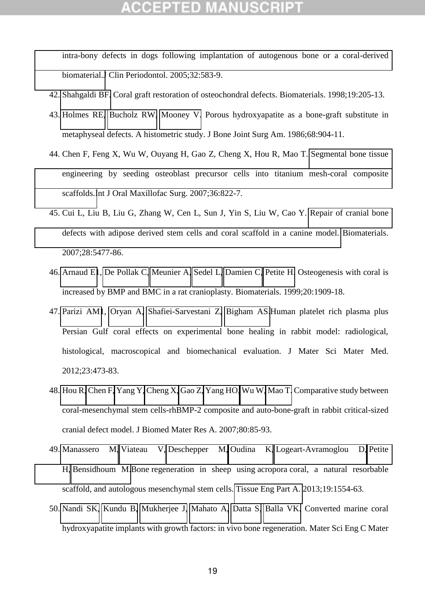[intra-bony defects in dogs following implantation of autogenous bone or a coral-derived](http://www.ncbi.nlm.nih.gov/pubmed/15882215)  [biomaterial.J](http://www.ncbi.nlm.nih.gov/pubmed/15882215) Clin Periodontol. 2005;32:583-9.

- 42. [Shahgaldi BF.](http://www.ncbi.nlm.nih.gov/pubmed/?term=Shahgaldi%20BF%5BAuthor%5D&cauthor=true&cauthor_uid=9678869) Coral graft restoration of osteochondral defects. Biomaterials. 1998;19:205-13.
- 43. [Holmes RE,](http://www.ncbi.nlm.nih.gov/pubmed/?term=Holmes%20RE%5BAuthor%5D&cauthor=true&cauthor_uid=3015975) [Bucholz RW,](http://www.ncbi.nlm.nih.gov/pubmed/?term=Bucholz%20RW%5BAuthor%5D&cauthor=true&cauthor_uid=3015975) [Mooney V.](http://www.ncbi.nlm.nih.gov/pubmed/?term=Mooney%20V%5BAuthor%5D&cauthor=true&cauthor_uid=3015975) Porous hydroxyapatite as a bone-graft substitute in metaphyseal defects. A histometric study. J Bone Joint Surg Am. 1986;68:904-11.
- 44. Chen F, Feng X, Wu W, Ouyang H, Gao Z, Cheng X, Hou R, Mao T. [Segmental bone tissue](http://www.ncbi.nlm.nih.gov/pubmed/17804199)  [engineering by seeding osteoblast precursor cells into titanium mesh-coral composite](http://www.ncbi.nlm.nih.gov/pubmed/17804199)  [scaffolds.I](http://www.ncbi.nlm.nih.gov/pubmed/17804199)nt J Oral Maxillofac Surg. 2007;36:822-7.
- 45. Cui L, Liu B, Liu G, Zhang W, Cen L, Sun J, Yin S, Liu W, Cao Y. [Repair of cranial bone](http://www.ncbi.nlm.nih.gov/pubmed/17888508)  [defects with adipose derived stem cells and coral scaffold in a canine model.](http://www.ncbi.nlm.nih.gov/pubmed/17888508) Biomaterials. 2007;28:5477-86.
- 46. [Arnaud E1](http://www.ncbi.nlm.nih.gov/pubmed/?term=Arnaud%20E%5BAuthor%5D&cauthor=true&cauthor_uid=10514067), [De Pollak C,](http://www.ncbi.nlm.nih.gov/pubmed/?term=De%20Pollak%20C%5BAuthor%5D&cauthor=true&cauthor_uid=10514067) [Meunier A,](http://www.ncbi.nlm.nih.gov/pubmed/?term=Meunier%20A%5BAuthor%5D&cauthor=true&cauthor_uid=10514067) [Sedel L,](http://www.ncbi.nlm.nih.gov/pubmed/?term=Sedel%20L%5BAuthor%5D&cauthor=true&cauthor_uid=10514067) [Damien C,](http://www.ncbi.nlm.nih.gov/pubmed/?term=Damien%20C%5BAuthor%5D&cauthor=true&cauthor_uid=10514067) [Petite H.](http://www.ncbi.nlm.nih.gov/pubmed/?term=Petite%20H%5BAuthor%5D&cauthor=true&cauthor_uid=10514067) Osteogenesis with coral is increased by BMP and BMC in a rat cranioplasty. Biomaterials. 1999;20:1909-18.
- 47. [Parizi AM1](http://www.ncbi.nlm.nih.gov/pubmed/?term=Parizi%20AM%5BAuthor%5D&cauthor=true&cauthor_uid=22057970), [Oryan A,](http://www.ncbi.nlm.nih.gov/pubmed/?term=Oryan%20A%5BAuthor%5D&cauthor=true&cauthor_uid=22057970) [Shafiei-Sarvestani Z,](http://www.ncbi.nlm.nih.gov/pubmed/?term=Shafiei-Sarvestani%20Z%5BAuthor%5D&cauthor=true&cauthor_uid=22057970) [Bigham AS.](http://www.ncbi.nlm.nih.gov/pubmed/?term=Bigham%20AS%5BAuthor%5D&cauthor=true&cauthor_uid=22057970)Human platelet rich plasma plus Persian Gulf coral effects on experimental bone healing in rabbit model: radiological, histological, macroscopical and biomechanical evaluation. J Mater Sci Mater Med. 2012;23:473-83.
- 48. [Hou R,](http://www.ncbi.nlm.nih.gov/pubmed/?term=Hou%20R%5BAuthor%5D&cauthor=true&cauthor_uid=16960828) [Chen F,](http://www.ncbi.nlm.nih.gov/pubmed/?term=Chen%20F%5BAuthor%5D&cauthor=true&cauthor_uid=16960828) [Yang Y,](http://www.ncbi.nlm.nih.gov/pubmed/?term=Yang%20Y%5BAuthor%5D&cauthor=true&cauthor_uid=16960828) [Cheng X,](http://www.ncbi.nlm.nih.gov/pubmed/?term=Cheng%20X%5BAuthor%5D&cauthor=true&cauthor_uid=16960828) [Gao Z,](http://www.ncbi.nlm.nih.gov/pubmed/?term=Gao%20Z%5BAuthor%5D&cauthor=true&cauthor_uid=16960828) [Yang HO,](http://www.ncbi.nlm.nih.gov/pubmed/?term=Yang%20HO%5BAuthor%5D&cauthor=true&cauthor_uid=16960828) [Wu W,](http://www.ncbi.nlm.nih.gov/pubmed/?term=Wu%20W%5BAuthor%5D&cauthor=true&cauthor_uid=16960828) [Mao T.](http://www.ncbi.nlm.nih.gov/pubmed/?term=Mao%20T%5BAuthor%5D&cauthor=true&cauthor_uid=16960828) Comparative study between coral-mesenchymal stem cells-rhBMP-2 composite and auto-bone-graft in rabbit critical-sized cranial defect model. J Biomed Mater Res A. 2007;80:85-93.
- 49. [Manassero M,](http://www.ncbi.nlm.nih.gov/pubmed/?term=Manassero%20M%5BAuthor%5D&cauthor=true&cauthor_uid=23427828) [Viateau V,](http://www.ncbi.nlm.nih.gov/pubmed/?term=Viateau%20V%5BAuthor%5D&cauthor=true&cauthor_uid=23427828) [Deschepper M,](http://www.ncbi.nlm.nih.gov/pubmed/?term=Deschepper%20M%5BAuthor%5D&cauthor=true&cauthor_uid=23427828) [Oudina K,](http://www.ncbi.nlm.nih.gov/pubmed/?term=Oudina%20K%5BAuthor%5D&cauthor=true&cauthor_uid=23427828) [Logeart-Avramoglou D,](http://www.ncbi.nlm.nih.gov/pubmed/?term=Logeart-Avramoglou%20D%5BAuthor%5D&cauthor=true&cauthor_uid=23427828) [Petite](http://www.ncbi.nlm.nih.gov/pubmed/?term=Petite%20H%5BAuthor%5D&cauthor=true&cauthor_uid=23427828)  [H,](http://www.ncbi.nlm.nih.gov/pubmed/?term=Petite%20H%5BAuthor%5D&cauthor=true&cauthor_uid=23427828) [Bensidhoum M.](http://www.ncbi.nlm.nih.gov/pubmed/?term=Bensidhoum%20M%5BAuthor%5D&cauthor=true&cauthor_uid=23427828)Bone regeneration in sheep using acropora coral, a natural resorbable scaffold, and autologous mesenchymal stem cells. [Tissue Eng Part A.](http://www.ncbi.nlm.nih.gov/pubmed/23427828) 2013;19:1554-63.
- 50. [Nandi SK,](http://www.ncbi.nlm.nih.gov/pubmed/?term=Nandi%20SK%5BAuthor%5D&cauthor=true&cauthor_uid=25687013) [Kundu B,](http://www.ncbi.nlm.nih.gov/pubmed/?term=Kundu%20B%5BAuthor%5D&cauthor=true&cauthor_uid=25687013) [Mukherjee J,](http://www.ncbi.nlm.nih.gov/pubmed/?term=Mukherjee%20J%5BAuthor%5D&cauthor=true&cauthor_uid=25687013) [Mahato A,](http://www.ncbi.nlm.nih.gov/pubmed/?term=Mahato%20A%5BAuthor%5D&cauthor=true&cauthor_uid=25687013) [Datta S,](http://www.ncbi.nlm.nih.gov/pubmed/?term=Datta%20S%5BAuthor%5D&cauthor=true&cauthor_uid=25687013) [Balla VK.](http://www.ncbi.nlm.nih.gov/pubmed/?term=Balla%20VK%5BAuthor%5D&cauthor=true&cauthor_uid=25687013) Converted marine coral hydroxyapatite implants with growth factors: in vivo bone regeneration. Mater Sci Eng C Mater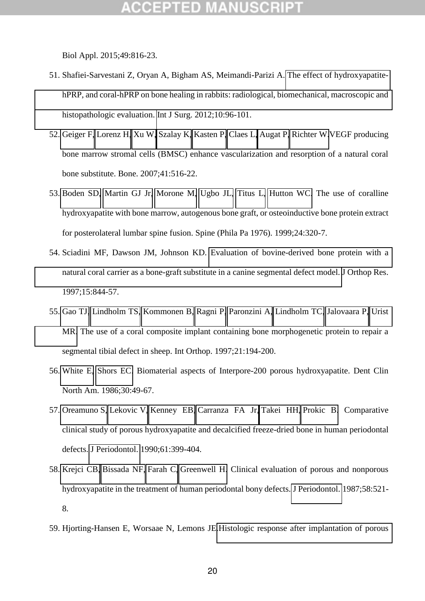Biol Appl. 2015;49:816-23.

- 51. Shafiei-Sarvestani Z, Oryan A, Bigham AS, Meimandi-Parizi A. [The effect of hydroxyapatite](http://www.ncbi.nlm.nih.gov/pubmed/22246167)hPRP, and coral-hPRP on bone healing in rabbits: radiological, biomechanical, macroscopic and [histopathologic evaluation.](http://www.ncbi.nlm.nih.gov/pubmed/22246167) Int J Surg. 2012;10:96-101.
- 52. [Geiger F,](http://www.ncbi.nlm.nih.gov/pubmed/?term=Geiger%20F%5BAuthor%5D&cauthor=true&cauthor_uid=17693148) [Lorenz H,](http://www.ncbi.nlm.nih.gov/pubmed/?term=Lorenz%20H%5BAuthor%5D&cauthor=true&cauthor_uid=17693148) [Xu W,](http://www.ncbi.nlm.nih.gov/pubmed/?term=Xu%20W%5BAuthor%5D&cauthor=true&cauthor_uid=17693148) [Szalay K,](http://www.ncbi.nlm.nih.gov/pubmed/?term=Szalay%20K%5BAuthor%5D&cauthor=true&cauthor_uid=17693148) [Kasten P,](http://www.ncbi.nlm.nih.gov/pubmed/?term=Kasten%20P%5BAuthor%5D&cauthor=true&cauthor_uid=17693148) [Claes L,](http://www.ncbi.nlm.nih.gov/pubmed/?term=Claes%20L%5BAuthor%5D&cauthor=true&cauthor_uid=17693148) [Augat P,](http://www.ncbi.nlm.nih.gov/pubmed/?term=Augat%20P%5BAuthor%5D&cauthor=true&cauthor_uid=17693148) [Richter W.](http://www.ncbi.nlm.nih.gov/pubmed/?term=Richter%20W%5BAuthor%5D&cauthor=true&cauthor_uid=17693148)VEGF producing bone marrow stromal cells (BMSC) enhance vascularization and resorption of a natural coral bone substitute. Bone. 2007;41:516-22.
- 53. [Boden SD,](http://www.ncbi.nlm.nih.gov/pubmed/?term=Boden%20SD%5BAuthor%5D&cauthor=true&cauthor_uid=10065514) [Martin GJ Jr,](http://www.ncbi.nlm.nih.gov/pubmed/?term=Martin%20GJ%20Jr%5BAuthor%5D&cauthor=true&cauthor_uid=10065514) [Morone M,](http://www.ncbi.nlm.nih.gov/pubmed/?term=Morone%20M%5BAuthor%5D&cauthor=true&cauthor_uid=10065514) [Ugbo JL,](http://www.ncbi.nlm.nih.gov/pubmed/?term=Ugbo%20JL%5BAuthor%5D&cauthor=true&cauthor_uid=10065514) [Titus L,](http://www.ncbi.nlm.nih.gov/pubmed/?term=Titus%20L%5BAuthor%5D&cauthor=true&cauthor_uid=10065514) [Hutton WC.](http://www.ncbi.nlm.nih.gov/pubmed/?term=Hutton%20WC%5BAuthor%5D&cauthor=true&cauthor_uid=10065514) The use of coralline hydroxyapatite with bone marrow, autogenous bone graft, or osteoinductive bone protein extract for posterolateral lumbar spine fusion. Spine (Phila Pa 1976). 1999;24:320-7.
- 54. Sciadini MF, Dawson JM, Johnson KD. [Evaluation of bovine-derived bone protein with a](http://www.ncbi.nlm.nih.gov/pubmed/9497809)  [natural coral carrier as a bone-graft substitute in a canine segmental defect model.](http://www.ncbi.nlm.nih.gov/pubmed/9497809) J Orthop Res. 1997;15:844-57.
- 55. [Gao TJ,](http://www.ncbi.nlm.nih.gov/pubmed/?term=Gao%20TJ%5BAuthor%5D&cauthor=true&cauthor_uid=9266302) [Lindholm TS,](http://www.ncbi.nlm.nih.gov/pubmed/?term=Lindholm%20TS%5BAuthor%5D&cauthor=true&cauthor_uid=9266302) [Kommonen B,](http://www.ncbi.nlm.nih.gov/pubmed/?term=Kommonen%20B%5BAuthor%5D&cauthor=true&cauthor_uid=9266302) [Ragni P,](http://www.ncbi.nlm.nih.gov/pubmed/?term=Ragni%20P%5BAuthor%5D&cauthor=true&cauthor_uid=9266302) [Paronzini A,](http://www.ncbi.nlm.nih.gov/pubmed/?term=Paronzini%20A%5BAuthor%5D&cauthor=true&cauthor_uid=9266302) [Lindholm TC,](http://www.ncbi.nlm.nih.gov/pubmed/?term=Lindholm%20TC%5BAuthor%5D&cauthor=true&cauthor_uid=9266302) [Jalovaara P,](http://www.ncbi.nlm.nih.gov/pubmed/?term=Jalovaara%20P%5BAuthor%5D&cauthor=true&cauthor_uid=9266302) [Urist](http://www.ncbi.nlm.nih.gov/pubmed/?term=Urist%20MR%5BAuthor%5D&cauthor=true&cauthor_uid=9266302)  [MR.](http://www.ncbi.nlm.nih.gov/pubmed/?term=Urist%20MR%5BAuthor%5D&cauthor=true&cauthor_uid=9266302) The use of a coral composite implant containing bone morphogenetic protein to repair a segmental tibial defect in sheep. Int Orthop. 1997;21:194-200.
- 56. [White E,](https://www.ncbi.nlm.nih.gov/pubmed/?term=White%20E%5BAuthor%5D&cauthor=true&cauthor_uid=3514293) [Shors EC.](https://www.ncbi.nlm.nih.gov/pubmed/?term=Shors%20EC%5BAuthor%5D&cauthor=true&cauthor_uid=3514293) Biomaterial aspects of Interpore-200 porous hydroxyapatite. Dent Clin North Am. 1986;30:49-67.
- 57. [Oreamuno S,](http://www.ncbi.nlm.nih.gov/pubmed/?term=Oreamuno%20S%5BAuthor%5D&cauthor=true&cauthor_uid=2167360) [Lekovic V,](http://www.ncbi.nlm.nih.gov/pubmed/?term=Lekovic%20V%5BAuthor%5D&cauthor=true&cauthor_uid=2167360) [Kenney EB,](http://www.ncbi.nlm.nih.gov/pubmed/?term=Kenney%20EB%5BAuthor%5D&cauthor=true&cauthor_uid=2167360) [Carranza FA Jr,](http://www.ncbi.nlm.nih.gov/pubmed/?term=Carranza%20FA%20Jr%5BAuthor%5D&cauthor=true&cauthor_uid=2167360) [Takei HH,](http://www.ncbi.nlm.nih.gov/pubmed/?term=Takei%20HH%5BAuthor%5D&cauthor=true&cauthor_uid=2167360) [Prokic B.](http://www.ncbi.nlm.nih.gov/pubmed/?term=Prokic%20B%5BAuthor%5D&cauthor=true&cauthor_uid=2167360) Comparative clinical study of porous hydroxyapatite and decalcified freeze-dried bone in human periodontal defects. [J Periodontol.](http://www.ncbi.nlm.nih.gov/pubmed/?term=oreamuno+lekovic) 1990;61:399-404.
- 58. [Krejci CB,](http://www.ncbi.nlm.nih.gov/pubmed/?term=Krejci%20CB%5BAuthor%5D&cauthor=true&cauthor_uid=3040959) [Bissada NF,](http://www.ncbi.nlm.nih.gov/pubmed/?term=Bissada%20NF%5BAuthor%5D&cauthor=true&cauthor_uid=3040959) [Farah C,](http://www.ncbi.nlm.nih.gov/pubmed/?term=Farah%20C%5BAuthor%5D&cauthor=true&cauthor_uid=3040959) [Greenwell H.](http://www.ncbi.nlm.nih.gov/pubmed/?term=Greenwell%20H%5BAuthor%5D&cauthor=true&cauthor_uid=3040959) Clinical evaluation of porous and nonporous hydroxyapatite in the treatment of human periodontal bony defects. [J Periodontol.](http://www.ncbi.nlm.nih.gov/pubmed/3040959) 1987;58:521- 8.
- 59. Hjorting-Hansen E, Worsaae N, Lemons JE[.Histologic response after implantation of porous](https://www.ncbi.nlm.nih.gov/pubmed/1965896)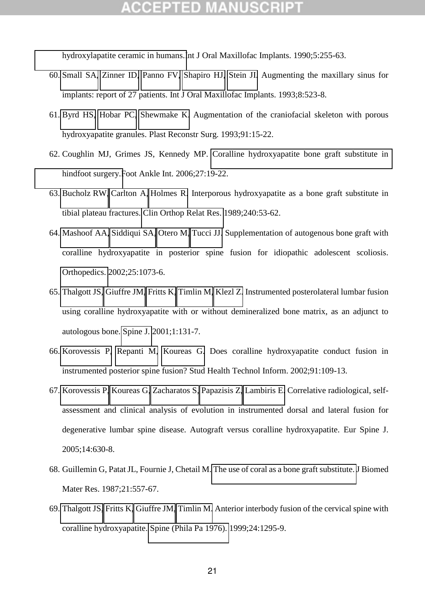[hydroxylapatite ceramic in humans.I](https://www.ncbi.nlm.nih.gov/pubmed/1965896)nt J Oral Maxillofac Implants. 1990;5:255-63.

- 60. [Small SA,](https://www.ncbi.nlm.nih.gov/pubmed/?term=Small%20SA%5BAuthor%5D&cauthor=true&cauthor_uid=8112791) [Zinner ID,](https://www.ncbi.nlm.nih.gov/pubmed/?term=Zinner%20ID%5BAuthor%5D&cauthor=true&cauthor_uid=8112791) [Panno FV,](https://www.ncbi.nlm.nih.gov/pubmed/?term=Panno%20FV%5BAuthor%5D&cauthor=true&cauthor_uid=8112791) [Shapiro HJ,](https://www.ncbi.nlm.nih.gov/pubmed/?term=Shapiro%20HJ%5BAuthor%5D&cauthor=true&cauthor_uid=8112791) [Stein JI.](https://www.ncbi.nlm.nih.gov/pubmed/?term=Stein%20JI%5BAuthor%5D&cauthor=true&cauthor_uid=8112791) Augmenting the maxillary sinus for implants: report of 27 patients. Int J Oral Maxillofac Implants. 1993;8:523-8.
- 61. [Byrd HS,](https://www.ncbi.nlm.nih.gov/pubmed/?term=Byrd%20HS%5BAuthor%5D&cauthor=true&cauthor_uid=8380106) [Hobar PC,](https://www.ncbi.nlm.nih.gov/pubmed/?term=Hobar%20PC%5BAuthor%5D&cauthor=true&cauthor_uid=8380106) [Shewmake K.](https://www.ncbi.nlm.nih.gov/pubmed/?term=Shewmake%20K%5BAuthor%5D&cauthor=true&cauthor_uid=8380106) Augmentation of the craniofacial skeleton with porous hydroxyapatite granules. Plast Reconstr Surg. 1993;91:15-22.
- 62. Coughlin MJ, Grimes JS, Kennedy MP. [Coralline hydroxyapatite bone graft substitute in](http://www.ncbi.nlm.nih.gov/pubmed/16442024)  [hindfoot surgery.F](http://www.ncbi.nlm.nih.gov/pubmed/16442024)oot Ankle Int. 2006;27:19-22.
- 63. [Bucholz RW,](https://www.ncbi.nlm.nih.gov/pubmed/?term=Bucholz%20RW%5BAuthor%5D&cauthor=true&cauthor_uid=2537166) [Carlton A,](https://www.ncbi.nlm.nih.gov/pubmed/?term=Carlton%20A%5BAuthor%5D&cauthor=true&cauthor_uid=2537166) [Holmes R.](https://www.ncbi.nlm.nih.gov/pubmed/?term=Holmes%20R%5BAuthor%5D&cauthor=true&cauthor_uid=2537166) Interporous hydroxyapatite as a bone graft substitute in tibial plateau fractures. [Clin Orthop Relat Res.](https://www.ncbi.nlm.nih.gov/pubmed/2537166) 1989;240:53-62.
- 64. [Mashoof AA,](http://www.ncbi.nlm.nih.gov/pubmed/?term=Mashoof%20AA%5BAuthor%5D&cauthor=true&cauthor_uid=12401014) [Siddiqui SA,](http://www.ncbi.nlm.nih.gov/pubmed/?term=Siddiqui%20SA%5BAuthor%5D&cauthor=true&cauthor_uid=12401014) [Otero M,](http://www.ncbi.nlm.nih.gov/pubmed/?term=Otero%20M%5BAuthor%5D&cauthor=true&cauthor_uid=12401014) [Tucci JJ.](http://www.ncbi.nlm.nih.gov/pubmed/?term=Tucci%20JJ%5BAuthor%5D&cauthor=true&cauthor_uid=12401014) Supplementation of autogenous bone graft with coralline hydroxyapatite in posterior spine fusion for idiopathic adolescent scoliosis. [Orthopedics.](http://www.ncbi.nlm.nih.gov/pubmed/12401014) 2002;25:1073-6.
- 65. [Thalgott JS,](http://www.ncbi.nlm.nih.gov/pubmed/?term=Thalgott%20JS%5BAuthor%5D&cauthor=true&cauthor_uid=14588393) [Giuffre JM,](http://www.ncbi.nlm.nih.gov/pubmed/?term=Giuffre%20JM%5BAuthor%5D&cauthor=true&cauthor_uid=14588393) [Fritts K,](http://www.ncbi.nlm.nih.gov/pubmed/?term=Fritts%20K%5BAuthor%5D&cauthor=true&cauthor_uid=14588393) [Timlin M,](http://www.ncbi.nlm.nih.gov/pubmed/?term=Timlin%20M%5BAuthor%5D&cauthor=true&cauthor_uid=14588393) [Klezl Z.](http://www.ncbi.nlm.nih.gov/pubmed/?term=Klezl%20Z%5BAuthor%5D&cauthor=true&cauthor_uid=14588393) Instrumented posterolateral lumbar fusion using coralline hydroxyapatite with or without demineralized bone matrix, as an adjunct to autologous bone. [Spine J.](http://www.ncbi.nlm.nih.gov/pubmed/14588393) 2001;1:131-7.
- 66. [Korovessis P,](http://www.ncbi.nlm.nih.gov/pubmed/?term=Korovessis%20P%5BAuthor%5D&cauthor=true&cauthor_uid=15457705) [Repanti M,](http://www.ncbi.nlm.nih.gov/pubmed/?term=Repanti%20M%5BAuthor%5D&cauthor=true&cauthor_uid=15457705) [Koureas G.](http://www.ncbi.nlm.nih.gov/pubmed/?term=Koureas%20G%5BAuthor%5D&cauthor=true&cauthor_uid=15457705) Does coralline hydroxyapatite conduct fusion in instrumented posterior spine fusion? Stud Health Technol Inform. 2002;91:109-13.
- 67. [Korovessis P,](http://www.ncbi.nlm.nih.gov/pubmed/?term=Korovessis%20P%5BAuthor%5D&cauthor=true&cauthor_uid=15789231) [Koureas G,](http://www.ncbi.nlm.nih.gov/pubmed/?term=Koureas%20G%5BAuthor%5D&cauthor=true&cauthor_uid=15789231) [Zacharatos S,](http://www.ncbi.nlm.nih.gov/pubmed/?term=Zacharatos%20S%5BAuthor%5D&cauthor=true&cauthor_uid=15789231) [Papazisis Z,](http://www.ncbi.nlm.nih.gov/pubmed/?term=Papazisis%20Z%5BAuthor%5D&cauthor=true&cauthor_uid=15789231) [Lambiris E.](http://www.ncbi.nlm.nih.gov/pubmed/?term=Lambiris%20E%5BAuthor%5D&cauthor=true&cauthor_uid=15789231) Correlative radiological, selfassessment and clinical analysis of evolution in instrumented dorsal and lateral fusion for degenerative lumbar spine disease. Autograft versus coralline hydroxyapatite. Eur Spine J. 2005;14:630-8.
- 68. Guillemin G, Patat JL, Fournie J, Chetail M[. The use of coral as a bone graft substitute. J](http://www.ncbi.nlm.nih.gov/pubmed/2884221) Biomed Mater Res. 1987;21:557-67.
- 69. [Thalgott JS,](http://www.ncbi.nlm.nih.gov/pubmed/?term=Thalgott%20JS%5BAuthor%5D&cauthor=true&cauthor_uid=10404570) [Fritts K,](http://www.ncbi.nlm.nih.gov/pubmed/?term=Fritts%20K%5BAuthor%5D&cauthor=true&cauthor_uid=10404570) [Giuffre JM,](http://www.ncbi.nlm.nih.gov/pubmed/?term=Giuffre%20JM%5BAuthor%5D&cauthor=true&cauthor_uid=10404570) [Timlin M.](http://www.ncbi.nlm.nih.gov/pubmed/?term=Timlin%20M%5BAuthor%5D&cauthor=true&cauthor_uid=10404570) Anterior interbody fusion of the cervical spine with coralline hydroxyapatite. [Spine \(Phila Pa 1976\).](http://www.ncbi.nlm.nih.gov/pubmed/10404570) 1999;24:1295-9.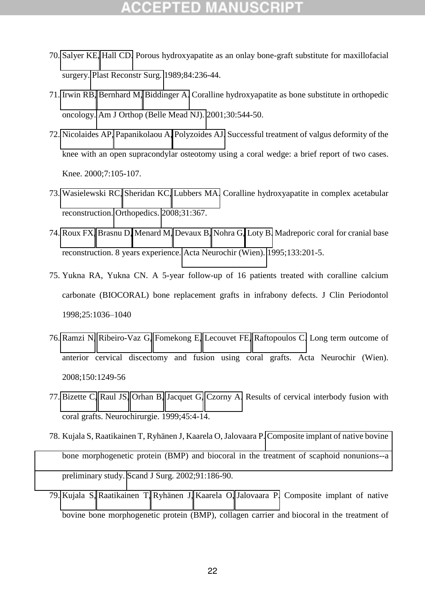- 70. [Salyer KE,](https://www.ncbi.nlm.nih.gov/pubmed/?term=Salyer%20KE%5BAuthor%5D&cauthor=true&cauthor_uid=2546169) [Hall CD.](https://www.ncbi.nlm.nih.gov/pubmed/?term=Hall%20CD%5BAuthor%5D&cauthor=true&cauthor_uid=2546169) Porous hydroxyapatite as an onlay bone-graft substitute for maxillofacial surgery. [Plast Reconstr Surg.](https://www.ncbi.nlm.nih.gov/pubmed/2546169) 1989;84:236-44.
- 71. [Irwin RB,](https://www.ncbi.nlm.nih.gov/pubmed/?term=Irwin%20RB%5BAuthor%5D&cauthor=true&cauthor_uid=11482509) [Bernhard M,](https://www.ncbi.nlm.nih.gov/pubmed/?term=Bernhard%20M%5BAuthor%5D&cauthor=true&cauthor_uid=11482509) [Biddinger A.](https://www.ncbi.nlm.nih.gov/pubmed/?term=Biddinger%20A%5BAuthor%5D&cauthor=true&cauthor_uid=11482509) Coralline hydroxyapatite as bone substitute in orthopedic oncology. [Am J Orthop \(Belle Mead NJ\).](https://www.ncbi.nlm.nih.gov/pubmed/11482509) 2001;30:544-50.
- 72. [Nicolaides AP,](http://www.ncbi.nlm.nih.gov/pubmed/?term=Nicolaides%20AP%5BAuthor%5D&cauthor=true&cauthor_uid=10788773) [Papanikolaou A,](http://www.ncbi.nlm.nih.gov/pubmed/?term=Papanikolaou%20A%5BAuthor%5D&cauthor=true&cauthor_uid=10788773) [Polyzoides AJ.](http://www.ncbi.nlm.nih.gov/pubmed/?term=Polyzoides%20AJ%5BAuthor%5D&cauthor=true&cauthor_uid=10788773) Successful treatment of valgus deformity of the knee with an open supracondylar osteotomy using a coral wedge: a brief report of two cases. Knee. 2000;7:105-107.
- 73. [Wasielewski RC,](http://www.ncbi.nlm.nih.gov/pubmed/?term=Wasielewski%20RC%5BAuthor%5D&cauthor=true&cauthor_uid=19292282) [Sheridan KC,](http://www.ncbi.nlm.nih.gov/pubmed/?term=Sheridan%20KC%5BAuthor%5D&cauthor=true&cauthor_uid=19292282) [Lubbers MA.](http://www.ncbi.nlm.nih.gov/pubmed/?term=Lubbers%20MA%5BAuthor%5D&cauthor=true&cauthor_uid=19292282) Coralline hydroxyapatite in complex acetabular reconstruction. [Orthopedics.](http://www.ncbi.nlm.nih.gov/pubmed/19292282) 2008;31:367.
- 74. [Roux FX,](http://www.ncbi.nlm.nih.gov/pubmed/?term=Roux%20FX%5BAuthor%5D&cauthor=true&cauthor_uid=8748767) [Brasnu D,](http://www.ncbi.nlm.nih.gov/pubmed/?term=Brasnu%20D%5BAuthor%5D&cauthor=true&cauthor_uid=8748767) [Menard M,](http://www.ncbi.nlm.nih.gov/pubmed/?term=Menard%20M%5BAuthor%5D&cauthor=true&cauthor_uid=8748767) [Devaux B,](http://www.ncbi.nlm.nih.gov/pubmed/?term=Devaux%20B%5BAuthor%5D&cauthor=true&cauthor_uid=8748767) [Nohra G,](http://www.ncbi.nlm.nih.gov/pubmed/?term=Nohra%20G%5BAuthor%5D&cauthor=true&cauthor_uid=8748767) [Loty B.](http://www.ncbi.nlm.nih.gov/pubmed/?term=Loty%20B%5BAuthor%5D&cauthor=true&cauthor_uid=8748767) Madreporic coral for cranial base reconstruction. 8 years experience. [Acta Neurochir \(Wien\).](http://www.ncbi.nlm.nih.gov/pubmed/8748767) 1995;133:201-5.
- 75. Yukna RA, Yukna CN. A 5-year follow-up of 16 patients treated with coralline calcium carbonate (BIOCORAL) bone replacement grafts in infrabony defects. J Clin Periodontol 1998;25:1036–1040
- 76. [Ramzi N,](http://www.ncbi.nlm.nih.gov/pubmed/?term=Ramzi%20N%5BAuthor%5D&cauthor=true&cauthor_uid=19002374) [Ribeiro-Vaz G,](http://www.ncbi.nlm.nih.gov/pubmed/?term=Ribeiro-Vaz%20G%5BAuthor%5D&cauthor=true&cauthor_uid=19002374) [Fomekong E,](http://www.ncbi.nlm.nih.gov/pubmed/?term=Fomekong%20E%5BAuthor%5D&cauthor=true&cauthor_uid=19002374) [Lecouvet FE,](http://www.ncbi.nlm.nih.gov/pubmed/?term=Lecouvet%20FE%5BAuthor%5D&cauthor=true&cauthor_uid=19002374) [Raftopoulos C.](http://www.ncbi.nlm.nih.gov/pubmed/?term=Raftopoulos%20C%5BAuthor%5D&cauthor=true&cauthor_uid=19002374) Long term outcome of anterior cervical discectomy and fusion using coral grafts. Acta Neurochir (Wien). 2008;150:1249-56
- 77. [Bizette C,](http://www.ncbi.nlm.nih.gov/pubmed/?term=Bizette%20C%5BAuthor%5D&cauthor=true&cauthor_uid=10374229) [Raul JS,](http://www.ncbi.nlm.nih.gov/pubmed/?term=Raul%20JS%5BAuthor%5D&cauthor=true&cauthor_uid=10374229) [Orhan B,](http://www.ncbi.nlm.nih.gov/pubmed/?term=Orhan%20B%5BAuthor%5D&cauthor=true&cauthor_uid=10374229) [Jacquet G,](http://www.ncbi.nlm.nih.gov/pubmed/?term=Jacquet%20G%5BAuthor%5D&cauthor=true&cauthor_uid=10374229) [Czorny A.](http://www.ncbi.nlm.nih.gov/pubmed/?term=Czorny%20A%5BAuthor%5D&cauthor=true&cauthor_uid=10374229) Results of cervical interbody fusion with coral grafts. Neurochirurgie. 1999;45:4-14.
- 78. Kujala S, Raatikainen T, Ryhänen J, Kaarela O, Jalovaara P. [Composite implant of native bovine](http://www.ncbi.nlm.nih.gov/pubmed/12164521)  [bone morphogenetic protein \(BMP\) and biocoral in the treatment of scaphoid nonunions--a](http://www.ncbi.nlm.nih.gov/pubmed/12164521)  [preliminary study.](http://www.ncbi.nlm.nih.gov/pubmed/12164521) Scand J Surg. 2002;91:186-90.
- 79. [Kujala S,](http://www.ncbi.nlm.nih.gov/pubmed/?term=Kujala%20S%5BAuthor%5D&cauthor=true&cauthor_uid=14618346) [Raatikainen T,](http://www.ncbi.nlm.nih.gov/pubmed/?term=Raatikainen%20T%5BAuthor%5D&cauthor=true&cauthor_uid=14618346) [Ryhänen J,](http://www.ncbi.nlm.nih.gov/pubmed/?term=Ryh%C3%A4nen%20J%5BAuthor%5D&cauthor=true&cauthor_uid=14618346) [Kaarela O,](http://www.ncbi.nlm.nih.gov/pubmed/?term=Kaarela%20O%5BAuthor%5D&cauthor=true&cauthor_uid=14618346) [Jalovaara P.](http://www.ncbi.nlm.nih.gov/pubmed/?term=Jalovaara%20P%5BAuthor%5D&cauthor=true&cauthor_uid=14618346) Composite implant of native bovine bone morphogenetic protein (BMP), collagen carrier and biocoral in the treatment of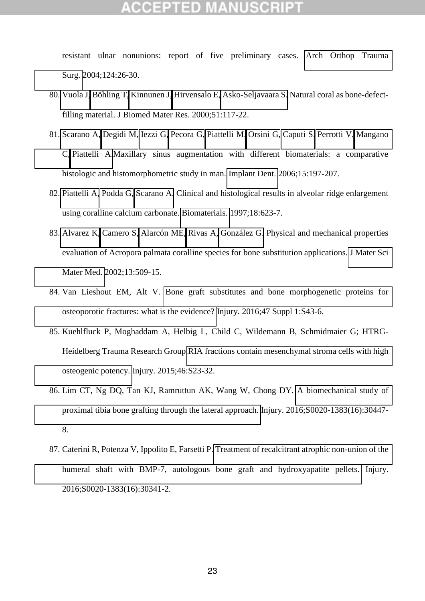resistant ulnar nonunions: report of five preliminary cases. [Arch Orthop Trauma](http://www.ncbi.nlm.nih.gov/pubmed/14618346)  [Surg.](http://www.ncbi.nlm.nih.gov/pubmed/14618346) 2004;124:26-30.

- 80. [Vuola J,](http://www.ncbi.nlm.nih.gov/pubmed/?term=Vuola%20J%5BAuthor%5D&cauthor=true&cauthor_uid=10813752) [Böhling T,](http://www.ncbi.nlm.nih.gov/pubmed/?term=B%C3%B6hling%20T%5BAuthor%5D&cauthor=true&cauthor_uid=10813752) [Kinnunen J,](http://www.ncbi.nlm.nih.gov/pubmed/?term=Kinnunen%20J%5BAuthor%5D&cauthor=true&cauthor_uid=10813752) [Hirvensalo E,](http://www.ncbi.nlm.nih.gov/pubmed/?term=Hirvensalo%20E%5BAuthor%5D&cauthor=true&cauthor_uid=10813752) [Asko-Seljavaara S.](http://www.ncbi.nlm.nih.gov/pubmed/?term=Asko-Seljavaara%20S%5BAuthor%5D&cauthor=true&cauthor_uid=10813752) Natural coral as bone-defectfilling material. J Biomed Mater Res. 2000;51:117-22.
- 81. [Scarano A,](http://www.ncbi.nlm.nih.gov/pubmed/?term=Scarano%20A%5BAuthor%5D&cauthor=true&cauthor_uid=16766904) [Degidi M,](http://www.ncbi.nlm.nih.gov/pubmed/?term=Degidi%20M%5BAuthor%5D&cauthor=true&cauthor_uid=16766904) [Iezzi G,](http://www.ncbi.nlm.nih.gov/pubmed/?term=Iezzi%20G%5BAuthor%5D&cauthor=true&cauthor_uid=16766904) [Pecora G,](http://www.ncbi.nlm.nih.gov/pubmed/?term=Pecora%20G%5BAuthor%5D&cauthor=true&cauthor_uid=16766904) [Piattelli M,](http://www.ncbi.nlm.nih.gov/pubmed/?term=Piattelli%20M%5BAuthor%5D&cauthor=true&cauthor_uid=16766904) [Orsini G,](http://www.ncbi.nlm.nih.gov/pubmed/?term=Orsini%20G%5BAuthor%5D&cauthor=true&cauthor_uid=16766904) [Caputi S,](http://www.ncbi.nlm.nih.gov/pubmed/?term=Caputi%20S%5BAuthor%5D&cauthor=true&cauthor_uid=16766904) [Perrotti V,](http://www.ncbi.nlm.nih.gov/pubmed/?term=Perrotti%20V%5BAuthor%5D&cauthor=true&cauthor_uid=16766904) [Mangano](http://www.ncbi.nlm.nih.gov/pubmed/?term=Mangano%20C%5BAuthor%5D&cauthor=true&cauthor_uid=16766904)  [C,](http://www.ncbi.nlm.nih.gov/pubmed/?term=Mangano%20C%5BAuthor%5D&cauthor=true&cauthor_uid=16766904) [Piattelli A.](http://www.ncbi.nlm.nih.gov/pubmed/?term=Piattelli%20A%5BAuthor%5D&cauthor=true&cauthor_uid=16766904)Maxillary sinus augmentation with different biomaterials: a comparative histologic and histomorphometric study in man. [Implant Dent.](http://www.ncbi.nlm.nih.gov/pubmed/?term=inoteb+patients) 2006;15:197-207.
- 82. [Piattelli A,](http://www.ncbi.nlm.nih.gov/pubmed/?term=Piattelli%20A%5BAuthor%5D&cauthor=true&cauthor_uid=9134162) [Podda G,](http://www.ncbi.nlm.nih.gov/pubmed/?term=Podda%20G%5BAuthor%5D&cauthor=true&cauthor_uid=9134162) [Scarano A.](http://www.ncbi.nlm.nih.gov/pubmed/?term=Scarano%20A%5BAuthor%5D&cauthor=true&cauthor_uid=9134162) Clinical and histological results in alveolar ridge enlargement using coralline calcium carbonate. [Biomaterials.](http://www.ncbi.nlm.nih.gov/pubmed/9134162) 1997;18:623-7.
- 83. [Alvarez K,](http://www.ncbi.nlm.nih.gov/pubmed/?term=Alvarez%20K%5BAuthor%5D&cauthor=true&cauthor_uid=15348605) [Camero S,](http://www.ncbi.nlm.nih.gov/pubmed/?term=Camero%20S%5BAuthor%5D&cauthor=true&cauthor_uid=15348605) [Alarcón ME,](http://www.ncbi.nlm.nih.gov/pubmed/?term=Alarc%C3%B3n%20ME%5BAuthor%5D&cauthor=true&cauthor_uid=15348605) [Rivas A,](http://www.ncbi.nlm.nih.gov/pubmed/?term=Rivas%20A%5BAuthor%5D&cauthor=true&cauthor_uid=15348605) [González G.](http://www.ncbi.nlm.nih.gov/pubmed/?term=Gonz%C3%A1lez%20G%5BAuthor%5D&cauthor=true&cauthor_uid=15348605) Physical and mechanical properties evaluation of Acropora palmata coralline species for bone substitution applications. [J Mater Sci](http://www.ncbi.nlm.nih.gov/pubmed/15348605)  [Mater Med.](http://www.ncbi.nlm.nih.gov/pubmed/15348605) 2002;13:509-15.
- 84. Van Lieshout EM, Alt V. [Bone graft substitutes and bone morphogenetic proteins for](https://www.ncbi.nlm.nih.gov/pubmed/26768291)  [osteoporotic fractures: what is the evidence?](https://www.ncbi.nlm.nih.gov/pubmed/26768291) Injury. 2016;47 Suppl 1:S43-6.
- 85. Kuehlfluck P, Moghaddam A, Helbig L, Child C, Wildemann B, Schmidmaier G; HTRG-Heidelberg Trauma Research Group[.RIA fractions contain mesenchymal stroma cells with high](https://www.ncbi.nlm.nih.gov/pubmed/26747914)  [osteogenic potency.](https://www.ncbi.nlm.nih.gov/pubmed/26747914) Injury. 2015;46:S23-32.
- 86. Lim CT, Ng DQ, Tan KJ, Ramruttun AK, Wang W, Chong DY. [A biomechanical study of](https://www.ncbi.nlm.nih.gov/pubmed/27659850)  [proximal tibia bone grafting through the lateral approach.](https://www.ncbi.nlm.nih.gov/pubmed/27659850) Injury. 2016;S0020-1383(16):30447- 8.
- 87. Caterini R, Potenza V, Ippolito E, Farsetti P. [Treatment of recalcitrant atrophic non-union of the](https://www.ncbi.nlm.nih.gov/pubmed/27507544)  [humeral shaft with BMP-7, autologous bone graft and hydroxyapatite pellets.](https://www.ncbi.nlm.nih.gov/pubmed/27507544) Injury. 2016;S0020-1383(16):30341-2.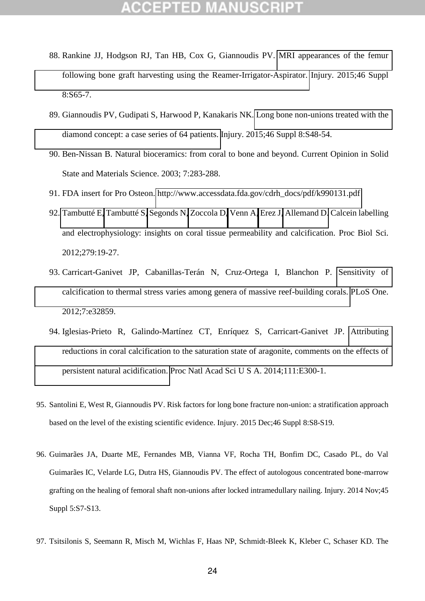- 88. Rankine JJ, Hodgson RJ, Tan HB, Cox G, Giannoudis PV. [MRI appearances of the femur](https://www.ncbi.nlm.nih.gov/pubmed/26747921)  [following bone graft harvesting using the Reamer-Irrigator-Aspirator.](https://www.ncbi.nlm.nih.gov/pubmed/26747921) Injury. 2015;46 Suppl 8:S65-7.
- 89. Giannoudis PV, Gudipati S, Harwood P, Kanakaris NK. [Long bone non-unions treated with the](https://www.ncbi.nlm.nih.gov/pubmed/26747919)  [diamond concept: a case series of 64 patients.](https://www.ncbi.nlm.nih.gov/pubmed/26747919) Injury. 2015;46 Suppl 8:S48-54.
- 90. Ben-Nissan B. Natural bioceramics: from coral to bone and beyond. Current Opinion in Solid State and Materials Science. 2003; 7:283-288.
- 91. FDA insert for Pro Osteon. [http://www.accessdata.fda.gov/cdrh\\_docs/pdf/k990131.pdf](http://www.accessdata.fda.gov/cdrh_docs/pdf/k990131.pdf)
- 92. [Tambutté E,](http://www.ncbi.nlm.nih.gov/pubmed/?term=Tambutt%C3%A9%20E%5BAuthor%5D&cauthor=true&cauthor_uid=21613296) [Tambutté S,](http://www.ncbi.nlm.nih.gov/pubmed/?term=Tambutt%C3%A9%20S%5BAuthor%5D&cauthor=true&cauthor_uid=21613296) [Segonds N,](http://www.ncbi.nlm.nih.gov/pubmed/?term=Segonds%20N%5BAuthor%5D&cauthor=true&cauthor_uid=21613296) [Zoccola D,](http://www.ncbi.nlm.nih.gov/pubmed/?term=Zoccola%20D%5BAuthor%5D&cauthor=true&cauthor_uid=21613296) [Venn A,](http://www.ncbi.nlm.nih.gov/pubmed/?term=Venn%20A%5BAuthor%5D&cauthor=true&cauthor_uid=21613296) [Erez J,](http://www.ncbi.nlm.nih.gov/pubmed/?term=Erez%20J%5BAuthor%5D&cauthor=true&cauthor_uid=21613296) [Allemand D.](http://www.ncbi.nlm.nih.gov/pubmed/?term=Allemand%20D%5BAuthor%5D&cauthor=true&cauthor_uid=21613296) Calcein labelling and electrophysiology: insights on coral tissue permeability and calcification. Proc Biol Sci. 2012;279:19-27.
- 93. Carricart-Ganivet JP, Cabanillas-Terán N, Cruz-Ortega I, Blanchon P. [Sensitivity of](http://www.ncbi.nlm.nih.gov/pubmed/22396797)  [calcification to thermal stress varies among genera of massive reef-building corals.](http://www.ncbi.nlm.nih.gov/pubmed/22396797) PLoS One. 2012;7:e32859.
- 94. Iglesias-Prieto R, Galindo-Martínez CT, Enríquez S, Carricart-Ganivet JP. [Attributing](http://www.ncbi.nlm.nih.gov/pubmed/24398532)  [reductions in coral calcification to the saturation state of aragonite, comments on the effects of](http://www.ncbi.nlm.nih.gov/pubmed/24398532)  [persistent natural acidification.](http://www.ncbi.nlm.nih.gov/pubmed/24398532) Proc Natl Acad Sci U S A. 2014;111:E300-1.
- 95. Santolini E, West R, Giannoudis PV. Risk factors for long bone fracture non-union: a stratification approach based on the level of the existing scientific evidence. Injury. 2015 Dec;46 Suppl 8:S8-S19.
- 96. Guimarães JA, Duarte ME, Fernandes MB, Vianna VF, Rocha TH, Bonfim DC, Casado PL, do Val Guimarães IC, Velarde LG, Dutra HS, Giannoudis PV. The effect of autologous concentrated bone-marrow grafting on the healing of femoral shaft non-unions after locked intramedullary nailing. Injury. 2014 Nov;45 Suppl 5:S7-S13.
- 97. Tsitsilonis S, Seemann R, Misch M, Wichlas F, Haas NP, Schmidt-Bleek K, Kleber C, Schaser KD. The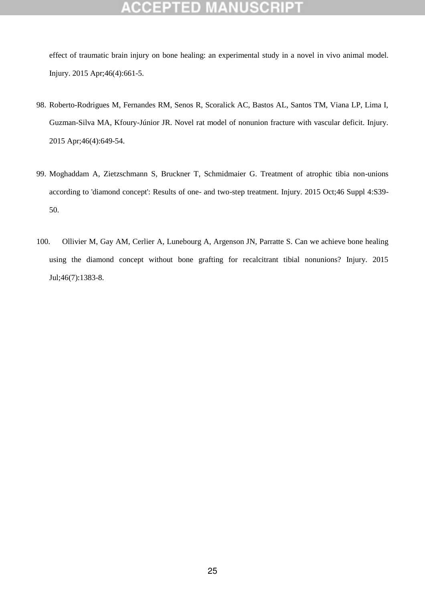effect of traumatic brain injury on bone healing: an experimental study in a novel in vivo animal model. Injury. 2015 Apr;46(4):661-5.

- 98. Roberto-Rodrigues M, Fernandes RM, Senos R, Scoralick AC, Bastos AL, Santos TM, Viana LP, Lima I, Guzman-Silva MA, Kfoury-Júnior JR. Novel rat model of nonunion fracture with vascular deficit. Injury. 2015 Apr;46(4):649-54.
- 99. Moghaddam A, Zietzschmann S, Bruckner T, Schmidmaier G. Treatment of atrophic tibia non-unions according to 'diamond concept': Results of one- and two-step treatment. Injury. 2015 Oct;46 Suppl 4:S39- 50.
- 100. Ollivier M, Gay AM, Cerlier A, Lunebourg A, Argenson JN, Parratte S. Can we achieve bone healing using the diamond concept without bone grafting for recalcitrant tibial nonunions? Injury. 2015 Jul;46(7):1383-8.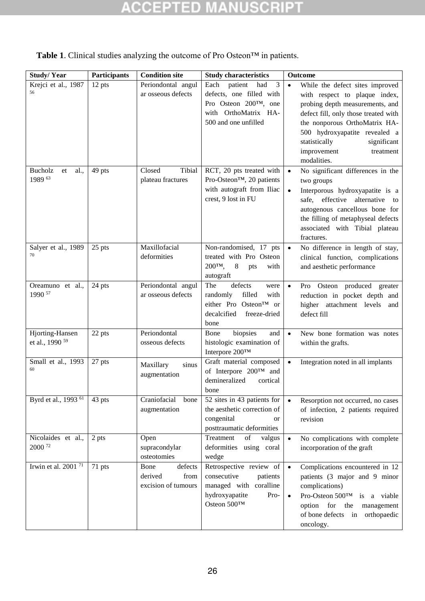|  |  |  |  | <b>Table 1.</b> Clinical studies analyzing the outcome of Pro Osteon <sup>TM</sup> in patients. |
|--|--|--|--|-------------------------------------------------------------------------------------------------|
|--|--|--|--|-------------------------------------------------------------------------------------------------|

| <b>Study/Year</b>                             | Participants | <b>Condition site</b>                                     | <b>Study characteristics</b>                                                                                                     | <b>Outcome</b>                                                                                                                                                                                                                                                                                        |
|-----------------------------------------------|--------------|-----------------------------------------------------------|----------------------------------------------------------------------------------------------------------------------------------|-------------------------------------------------------------------------------------------------------------------------------------------------------------------------------------------------------------------------------------------------------------------------------------------------------|
| Krejci et al., 1987<br>56                     | 12 pts       | Periondontal angul<br>ar osseous defects                  | 3<br>Each<br>patient<br>had<br>defects, one filled with<br>Pro Osteon 200TM, one<br>with OrthoMatrix HA-<br>500 and one unfilled | $\bullet$<br>While the defect sites improved<br>with respect to plaque index,<br>probing depth measurements, and<br>defect fill, only those treated with<br>the nonporous OrthoMatrix HA-<br>500 hydroxyapatite revealed a<br>statistically<br>significant<br>improvement<br>treatment<br>modalities. |
| Bucholz<br>al.,<br>et<br>1989 63              | 49 pts       | Tibial<br>Closed<br>plateau fractures                     | RCT, 20 pts treated with<br>Pro-Osteon™, 20 patients<br>with autograft from Iliac<br>crest, 9 lost in FU                         | No significant differences in the<br>$\bullet$<br>two groups<br>Interporous hydroxyapatite is a<br>$\bullet$<br>alternative<br>safe, effective<br>to<br>autogenous cancellous bone for<br>the filling of metaphyseal defects<br>associated with Tibial plateau<br>fractures.                          |
| Salyer et al., 1989<br>70                     | 25 pts       | Maxillofacial<br>deformities                              | Non-randomised, 17 pts<br>treated with Pro Osteon<br>200ТМ,<br>$\,8\,$<br>with<br>pts<br>autograft                               | No difference in length of stay,<br>$\bullet$<br>clinical function, complications<br>and aesthetic performance                                                                                                                                                                                        |
| Oreamuno et al.,<br>1990 57                   | 24 pts       | Periondontal angul<br>ar osseous defects                  | The<br>defects<br>were<br>filled<br>randomly<br>with<br>either Pro Osteon™ or<br>decalcified<br>freeze-dried<br>bone             | Pro Osteon produced greater<br>$\bullet$<br>reduction in pocket depth and<br>higher attachment levels and<br>defect fill                                                                                                                                                                              |
| Hjorting-Hansen<br>et al., 1990 <sup>59</sup> | 22 pts       | Periondontal<br>osseous defects                           | biopsies<br>and<br>Bone<br>histologic examination of<br>Interpore 200TM                                                          | New bone formation was notes<br>$\bullet$<br>within the grafts.                                                                                                                                                                                                                                       |
| Small et al., 1993<br>60                      | 27 pts       | Maxillary<br>sinus<br>augmentation                        | Graft material composed<br>of Interpore 200TM and<br>demineralized<br>cortical<br>bone                                           | Integration noted in all implants<br>$\bullet$                                                                                                                                                                                                                                                        |
| Byrd et al., 1993 <sup>61</sup>               | 43 pts       | Craniofacial<br>bone<br>augmentation                      | 52 sites in 43 patients for<br>the aesthetic correction of<br>congenital<br>or<br>posttraumatic deformities                      | Resorption not occurred, no cases<br>$\bullet$<br>of infection, 2 patients required<br>revision                                                                                                                                                                                                       |
| Nicolaides et al.,<br>2000 72                 | 2 pts        | Open<br>supracondylar<br>osteotomies                      | Treatment<br>valgus<br>of<br>deformities using coral<br>wedge                                                                    | No complications with complete<br>$\bullet$<br>incorporation of the graft                                                                                                                                                                                                                             |
| Irwin et al. 2001 $\frac{71}{71}$             | 71 pts       | defects<br>Bone<br>derived<br>from<br>excision of tumours | Retrospective review of<br>consecutive<br>patients<br>managed with coralline<br>hydroxyapatite<br>Pro-<br>Osteon 500TM           | Complications encountered in 12<br>$\bullet$<br>patients (3 major and 9 minor<br>complications)<br>Pro-Osteon 500™ is a viable<br>$\bullet$<br>option for<br>the<br>management<br>of bone defects<br>in orthopaedic<br>oncology.                                                                      |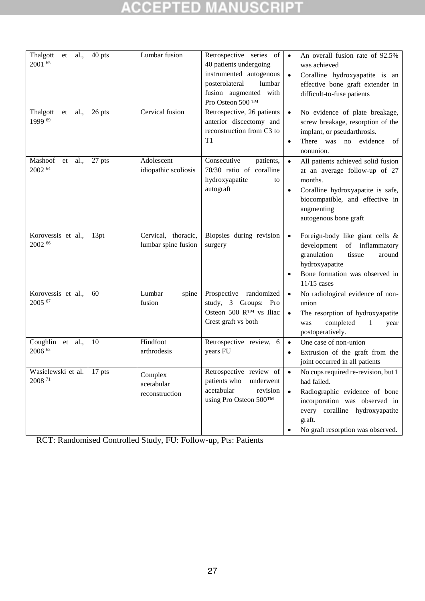| Thalgott<br>al.,<br>et<br>2001 65        | 40 pts | Lumbar fusion                              | Retrospective series of<br>40 patients undergoing<br>instrumented autogenous<br>posterolateral<br>lumbar<br>fusion augmented with<br>Pro Osteon 500 ™ | An overall fusion rate of 92.5%<br>$\bullet$<br>was achieved<br>Coralline hydroxyapatite is an<br>$\bullet$<br>effective bone graft extender in<br>difficult-to-fuse patients                                                   |
|------------------------------------------|--------|--------------------------------------------|-------------------------------------------------------------------------------------------------------------------------------------------------------|---------------------------------------------------------------------------------------------------------------------------------------------------------------------------------------------------------------------------------|
| Thalgott<br>et<br>al.,<br>1999 69        | 26 pts | Cervical fusion                            | Retrospective, 26 patients<br>anterior discectomy and<br>reconstruction from C3 to<br>T1                                                              | No evidence of plate breakage,<br>$\bullet$<br>screw breakage, resorption of the<br>implant, or pseudarthrosis.<br>There was no evidence<br>of<br>$\bullet$<br>nonunion.                                                        |
| Mashoof<br>al.,<br>et<br>2002 64         | 27 pts | Adolescent<br>idiopathic scoliosis         | Consecutive<br>patients,<br>70/30 ratio of coralline<br>hydroxyapatite<br>to<br>autograft                                                             | All patients achieved solid fusion<br>$\bullet$<br>at an average follow-up of 27<br>months.<br>Coralline hydroxyapatite is safe,<br>$\bullet$<br>biocompatible, and effective in<br>augmenting<br>autogenous bone graft         |
| Korovessis et al.,<br>$2002^{66}$        | 13pt   | Cervical, thoracic,<br>lumbar spine fusion | Biopsies during revision<br>surgery                                                                                                                   | Foreign-body like giant cells &<br>$\bullet$<br>development of inflammatory<br>granulation<br>tissue<br>around<br>hydroxyapatite<br>Bone formation was observed in<br>$\bullet$<br>$11/15$ cases                                |
| Korovessis et al.,<br>2005 67            | 60     | Lumbar<br>spine<br>fusion                  | Prospective randomized<br>study, 3 Groups: Pro<br>Osteon 500 RTM vs Iliac<br>Crest graft vs both                                                      | No radiological evidence of non-<br>$\bullet$<br>union<br>The resorption of hydroxyapatite<br>$\bullet$<br>completed<br>1<br>was<br>year<br>postoperatively.                                                                    |
| Coughlin<br>et al.,<br>2006 62           | 10     | Hindfoot<br>arthrodesis                    | Retrospective review, 6<br>years FU                                                                                                                   | One case of non-union<br>$\bullet$<br>Extrusion of the graft from the<br>$\bullet$<br>joint occurred in all patients                                                                                                            |
| Wasielewski et al.<br>2008 <sup>71</sup> | 17 pts | Complex<br>acetabular<br>reconstruction    | Retrospective review of<br>patients who<br>underwent<br>revision<br>acetabular<br>using Pro Osteon 500TM                                              | No cups required re-revision, but 1<br>$\bullet$<br>had failed.<br>Radiographic evidence of bone<br>$\bullet$<br>incorporation was observed in<br>every coralline hydroxyapatite<br>graft.<br>No graft resorption was observed. |

RCT: Randomised Controlled Study, FU: Follow-up, Pts: Patients